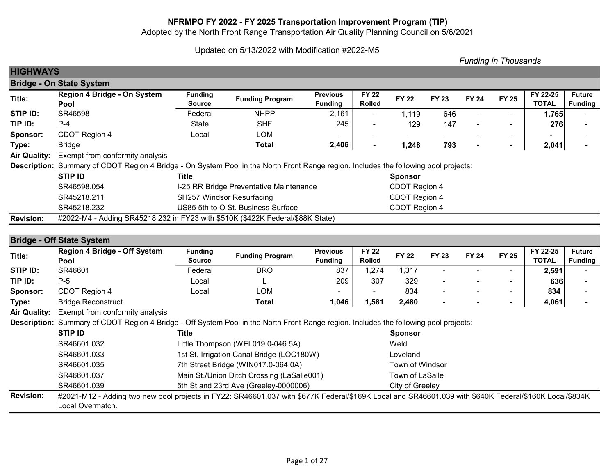# NFRMPO FY 2022 - FY 2025 Transportation Improvement Program (TIP)

Adopted by the North Front Range Transportation Air Quality Planning Council on 5/6/2021

# Updated on 5/13/2022 with Modification #2022-M5

|                     |                                                                                                                                      |                          |                                         |                                   |                               |                |              |                          | <b>Funding in Thousands</b> |                          |                                 |
|---------------------|--------------------------------------------------------------------------------------------------------------------------------------|--------------------------|-----------------------------------------|-----------------------------------|-------------------------------|----------------|--------------|--------------------------|-----------------------------|--------------------------|---------------------------------|
| <b>HIGHWAYS</b>     |                                                                                                                                      |                          |                                         |                                   |                               |                |              |                          |                             |                          |                                 |
|                     | <b>Bridge - On State System</b>                                                                                                      |                          |                                         |                                   |                               |                |              |                          |                             |                          |                                 |
| Title:              | Region 4 Bridge - On System<br>Pool                                                                                                  | <b>Funding</b><br>Source | <b>Funding Program</b>                  | <b>Previous</b><br><b>Funding</b> | <b>FY 22</b><br><b>Rolled</b> | <b>FY 22</b>   | <b>FY 23</b> | <b>FY 24</b>             | <b>FY 25</b>                | FY 22-25<br><b>TOTAL</b> | <b>Future</b><br><b>Funding</b> |
| STIP ID:            | SR46598                                                                                                                              | Federal                  | <b>NHPP</b>                             | 2,161                             | ٠                             | 1,119          | 646          |                          |                             | 1,765                    |                                 |
| TIP ID:             | $P-4$                                                                                                                                | <b>State</b>             | <b>SHF</b>                              | 245                               | $\sim$                        | 129            | 147          | $\overline{\phantom{a}}$ | $\blacksquare$              | 276                      |                                 |
| Sponsor:            | CDOT Region 4                                                                                                                        | Local                    | <b>LOM</b>                              |                                   |                               |                |              |                          | $\overline{\phantom{a}}$    |                          |                                 |
| Type:               | <b>Bridge</b>                                                                                                                        |                          | Total                                   | 2,406                             | $\blacksquare$                | 1,248          | 793          | $\blacksquare$           | ٠                           | 2,041                    |                                 |
| <b>Air Quality:</b> | Exempt from conformity analysis                                                                                                      |                          |                                         |                                   |                               |                |              |                          |                             |                          |                                 |
|                     | Description: Summary of CDOT Region 4 Bridge - On System Pool in the North Front Range region. Includes the following pool projects: |                          |                                         |                                   |                               |                |              |                          |                             |                          |                                 |
|                     | <b>STIP ID</b>                                                                                                                       | Title                    |                                         |                                   |                               | <b>Sponsor</b> |              |                          |                             |                          |                                 |
|                     | SR46598.054                                                                                                                          |                          | I-25 RR Bridge Preventative Maintenance |                                   |                               | CDOT Region 4  |              |                          |                             |                          |                                 |
|                     | SR45218.211                                                                                                                          |                          | <b>SH257 Windsor Resurfacing</b>        |                                   |                               | CDOT Region 4  |              |                          |                             |                          |                                 |
|                     | SR45218.232                                                                                                                          |                          | US85 5th to O St. Business Surface      |                                   |                               | CDOT Region 4  |              |                          |                             |                          |                                 |
| <b>Revision:</b>    | #2022-M4 - Adding SR45218.232 in FY23 with \$510K (\$422K Federal/\$88K State)                                                       |                          |                                         |                                   |                               |                |              |                          |                             |                          |                                 |
|                     |                                                                                                                                      |                          |                                         |                                   |                               |                |              |                          |                             |                          |                                 |
|                     | <b>Bridge - Off State System</b>                                                                                                     |                          |                                         |                                   |                               |                |              |                          |                             |                          |                                 |
| Title:              | <b>Region 4 Bridge - Off System</b>                                                                                                  | <b>Funding</b>           | <b>Funding Program</b>                  | <b>Previous</b>                   | <b>FY 22</b>                  | <b>FY 22</b>   | <b>FY 23</b> | <b>FY 24</b>             | <b>FY 25</b>                | FY 22-25                 | <b>Future</b>                   |

| Title:          | <b>Region 4 Bridge - Off System</b> | <b>Funding</b> |                        | <b>Previous</b>          | <b>FY 22</b>  | <b>FY 22</b> |              | FY 24 |                          | FY 22-25     | <b>Future</b>  |
|-----------------|-------------------------------------|----------------|------------------------|--------------------------|---------------|--------------|--------------|-------|--------------------------|--------------|----------------|
|                 | Pool                                | Source         | <b>Funding Program</b> | <b>Funding</b>           | <b>Rolled</b> |              | <b>FY 23</b> |       | <b>FY 25</b>             | <b>TOTAL</b> | <b>Funding</b> |
| STIP ID:        | SR46601                             | Federal        | <b>BRO</b>             | 837                      | ,274          | , 317        |              |       | $\overline{\phantom{0}}$ | 2,591        |                |
| TIP ID:         | $P-5$                               | Local          |                        | 209                      | 307           | 329          |              |       | $\overline{\phantom{0}}$ | 636          |                |
| <b>Sponsor:</b> | CDOT Region 4                       | Local          | LOM                    | $\overline{\phantom{0}}$ |               | 834          |              |       | $\sim$                   | 834          |                |
| Type:           | <b>Bridge Reconstruct</b>           |                | <b>Total</b>           | 1,046                    | ,581          | 2,480        |              |       |                          | 4,061        |                |
|                 |                                     |                |                        |                          |               |              |              |       |                          |              |                |

Air Quality: Exempt from conformity analysis

Description: Summary of CDOT Region 4 Bridge - Off System Pool in the North Front Range region. Includes the following pool projects:

|                  | STIP ID          | Title                                                                                                                                                  | <b>Sponsor</b>  |
|------------------|------------------|--------------------------------------------------------------------------------------------------------------------------------------------------------|-----------------|
|                  | SR46601.032      | Little Thompson (WEL019.0-046.5A)                                                                                                                      | Weld            |
|                  | SR46601.033      | 1st St. Irrigation Canal Bridge (LOC180W)                                                                                                              | Loveland        |
|                  | SR46601.035      | 7th Street Bridge (WIN017.0-064.0A)                                                                                                                    | Town of Windsor |
|                  | SR46601.037      | Main St./Union Ditch Crossing (LaSalle001)                                                                                                             | Town of LaSalle |
|                  | SR46601.039      | 5th St and 23rd Ave (Greeley-0000006)                                                                                                                  | City of Greeley |
| <b>Revision:</b> |                  | #2021-M12 - Adding two new pool projects in FY22: SR46601.037 with \$677K Federal/\$169K Local and SR46601.039 with \$640K Federal/\$160K Local/\$834K |                 |
|                  | Local Overmatch. |                                                                                                                                                        |                 |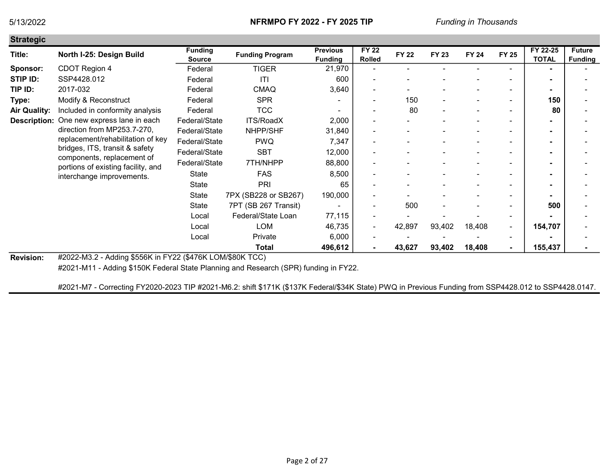Official and a

| Strategic           |                                                                                                                                                                                                                         |                                 |                        |                                   |                               |              |              |              |                |                          |                                 |
|---------------------|-------------------------------------------------------------------------------------------------------------------------------------------------------------------------------------------------------------------------|---------------------------------|------------------------|-----------------------------------|-------------------------------|--------------|--------------|--------------|----------------|--------------------------|---------------------------------|
| Title:              | North I-25: Design Build                                                                                                                                                                                                | <b>Funding</b><br><b>Source</b> | <b>Funding Program</b> | <b>Previous</b><br><b>Funding</b> | <b>FY 22</b><br><b>Rolled</b> | <b>FY 22</b> | <b>FY 23</b> | <b>FY 24</b> | <b>FY 25</b>   | FY 22-25<br><b>TOTAL</b> | <b>Future</b><br><b>Funding</b> |
| Sponsor:            | CDOT Region 4                                                                                                                                                                                                           | Federal                         | <b>TIGER</b>           | 21,970                            |                               |              |              |              |                |                          |                                 |
| STIP ID:            | SSP4428.012                                                                                                                                                                                                             | Federal                         | ITI                    | 600                               |                               |              |              |              |                |                          |                                 |
| TIP ID:             | 2017-032                                                                                                                                                                                                                | Federal                         | <b>CMAQ</b>            | 3,640                             |                               |              |              |              |                |                          |                                 |
| Type:               | Modify & Reconstruct                                                                                                                                                                                                    | Federal                         | <b>SPR</b>             |                                   |                               | 150          |              |              |                | 150                      |                                 |
| <b>Air Quality:</b> | Included in conformity analysis                                                                                                                                                                                         | Federal                         | <b>TCC</b>             |                                   |                               | 80           |              |              | $\blacksquare$ | 80                       |                                 |
| <b>Description:</b> | One new express lane in each                                                                                                                                                                                            | Federal/State                   | ITS/RoadX              | 2,000                             |                               |              |              |              |                |                          |                                 |
|                     | direction from MP253.7-270,                                                                                                                                                                                             | Federal/State                   | NHPP/SHF               | 31,840                            |                               |              |              |              |                |                          |                                 |
|                     | replacement/rehabilitation of key                                                                                                                                                                                       | Federal/State                   | <b>PWQ</b>             | 7,347                             |                               |              |              |              |                |                          |                                 |
|                     | bridges, ITS, transit & safety                                                                                                                                                                                          | Federal/State                   | <b>SBT</b>             | 12,000                            |                               |              |              |              |                |                          |                                 |
|                     | components, replacement of<br>portions of existing facility, and                                                                                                                                                        | Federal/State                   | 7TH/NHPP               | 88,800                            | ۰                             |              |              |              |                |                          |                                 |
|                     | interchange improvements.                                                                                                                                                                                               | State                           | <b>FAS</b>             | 8,500                             |                               |              |              |              | $\sim$         |                          |                                 |
|                     |                                                                                                                                                                                                                         | <b>State</b>                    | <b>PRI</b>             | 65                                |                               |              |              |              | $\overline{a}$ |                          |                                 |
|                     |                                                                                                                                                                                                                         | State                           | 7PX (SB228 or SB267)   | 190,000                           |                               |              |              |              |                |                          |                                 |
|                     |                                                                                                                                                                                                                         | State                           | 7PT (SB 267 Transit)   |                                   |                               | 500          |              |              |                | 500                      |                                 |
|                     |                                                                                                                                                                                                                         | Local                           | Federal/State Loan     | 77,115                            |                               |              |              |              | ٠              |                          |                                 |
|                     |                                                                                                                                                                                                                         | Local                           | <b>LOM</b>             | 46,735                            | ۰                             | 42,897       | 93,402       | 18,408       | $\blacksquare$ | 154,707                  |                                 |
|                     |                                                                                                                                                                                                                         | Local                           | Private                | 6,000                             | ۰                             |              |              |              | $\sim$         |                          |                                 |
|                     |                                                                                                                                                                                                                         |                                 | Total                  | 496,612                           |                               | 43,627       | 93,402       | 18,408       |                | 155,437                  |                                 |
|                     | $\mu$ <sub>0.000</sub> $\mu$ <sub>1.0</sub> $\mu$ <sub>1.0</sub> $\sigma$ <sub>1</sub> $\sigma$ <sub>1.00</sub> $\sigma$ <sub>1.10</sub> $\sigma$ <sub>1.1</sub> $\sigma$ <sub>1.1</sub> $\sigma$ <sub>0.0</sub> $\tau$ |                                 |                        |                                   |                               |              |              |              |                |                          |                                 |

Revision: #2022-M3.2 - Adding \$556K in FY22 (\$476K LOM/\$80K TCC)

#2021-M11 - Adding \$150K Federal State Planning and Research (SPR) funding in FY22.

#2021-M7 - Correcting FY2020-2023 TIP #2021-M6.2: shift \$171K (\$137K Federal/\$34K State) PWQ in Previous Funding from SSP4428.012 to SSP4428.0147.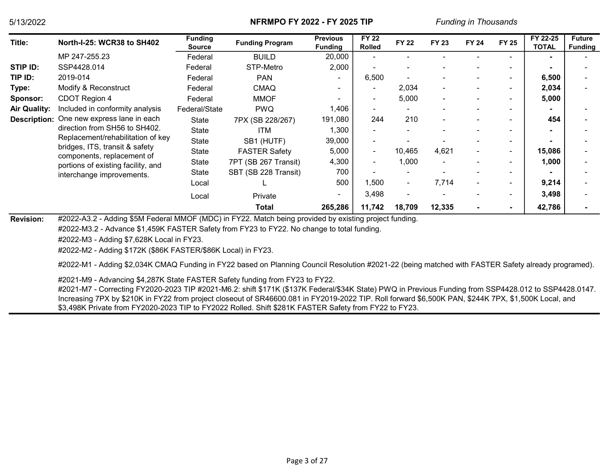| Title:              | <b>North-I-25: WCR38 to SH402</b>                                | <b>Funding</b><br><b>Source</b> | <b>Funding Program</b> | <b>Previous</b><br><b>Funding</b> | <b>FY 22</b><br><b>Rolled</b> | <b>FY 22</b>             | <b>FY 23</b> | <b>FY 24</b>             | <b>FY 25</b>             | FY 22-25<br><b>TOTAL</b> | <b>Future</b><br><b>Funding</b> |
|---------------------|------------------------------------------------------------------|---------------------------------|------------------------|-----------------------------------|-------------------------------|--------------------------|--------------|--------------------------|--------------------------|--------------------------|---------------------------------|
|                     | MP 247-255.23                                                    | Federal                         | <b>BUILD</b>           | 20,000                            |                               |                          |              |                          |                          |                          |                                 |
| STIP ID:            | SSP4428.014                                                      | Federal                         | STP-Metro              | 2,000                             |                               | ٠                        |              |                          | $\overline{\phantom{a}}$ |                          |                                 |
| TIP ID:             | 2019-014                                                         | Federal                         | <b>PAN</b>             | . .                               | 6,500                         | ٠                        |              | $\blacksquare$           | $\overline{\phantom{0}}$ | 6,500                    |                                 |
| Type:               | Modify & Reconstruct                                             | Federal                         | <b>CMAQ</b>            |                                   | $\overline{\phantom{0}}$      | 2,034                    |              | $\overline{\phantom{0}}$ | $\overline{\phantom{0}}$ | 2,034                    |                                 |
| Sponsor:            | CDOT Region 4                                                    | Federal                         | <b>MMOF</b>            |                                   | ٠                             | 5,000                    |              | $\blacksquare$           | $\overline{\phantom{a}}$ | 5,000                    |                                 |
| <b>Air Quality:</b> | Included in conformity analysis                                  | Federal/State                   | <b>PWQ</b>             | 1,406                             |                               |                          |              |                          | $\overline{\phantom{a}}$ |                          |                                 |
| <b>Description:</b> | One new express lane in each                                     | State                           | 7PX (SB 228/267)       | 191,080                           | 244                           | 210                      |              | $\overline{\phantom{0}}$ | $\overline{\phantom{0}}$ | 454                      |                                 |
|                     | direction from SH56 to SH402.                                    | State                           | ITM                    | 1,300                             | $\overline{\phantom{a}}$      |                          |              |                          | $\overline{\phantom{a}}$ |                          |                                 |
|                     | Replacement/rehabilitation of key                                | State                           | SB1 (HUTF)             | 39,000                            | ٠                             |                          |              |                          | $\overline{\phantom{0}}$ |                          |                                 |
|                     | bridges, ITS, transit & safety                                   | State                           | <b>FASTER Safety</b>   | 5,000                             | $\overline{\phantom{a}}$      | 10,465                   | 4,621        | ۰                        | $\overline{\phantom{a}}$ | 15,086                   |                                 |
|                     | components, replacement of<br>portions of existing facility, and | State                           | 7PT (SB 267 Transit)   | 4,300                             | $\sim$                        | 1,000                    |              | ۰                        | $\overline{\phantom{a}}$ | 1,000                    |                                 |
|                     | interchange improvements.                                        | State                           | SBT (SB 228 Transit)   | 700                               |                               |                          |              |                          | $\overline{\phantom{0}}$ |                          |                                 |
|                     |                                                                  | Local                           |                        | 500                               | 1,500                         | $\overline{\phantom{a}}$ | 7,714        | $\overline{\phantom{a}}$ | $\overline{\phantom{a}}$ | 9,214                    |                                 |
|                     |                                                                  | Local                           | Private                |                                   | 3,498                         | $\overline{\phantom{a}}$ |              |                          | $\overline{\phantom{a}}$ | 3,498                    |                                 |
|                     |                                                                  |                                 | Total                  | 265,286                           | 11,742                        | 18,709                   | 12,335       |                          | $\blacksquare$           | 42,786                   |                                 |

Revision: #2022-A3.2 - Adding \$5M Federal MMOF (MDC) in FY22. Match being provided by existing project funding.

#2022-M3.2 - Advance \$1,459K FASTER Safety from FY23 to FY22. No change to total funding.

#2022-M3 - Adding \$7,628K Local in FY23.

#2022-M2 - Adding \$172K (\$86K FASTER/\$86K Local) in FY23.

#2022-M1 - Adding \$2,034K CMAQ Funding in FY22 based on Planning Council Resolution #2021-22 (being matched with FASTER Safety already programed).

#2021-M9 - Advancing \$4,287K State FASTER Safety funding from FY23 to FY22.

#2021-M7 - Correcting FY2020-2023 TIP #2021-M6.2: shift \$171K (\$137K Federal/\$34K State) PWQ in Previous Funding from SSP4428.012 to SSP4428.0147. Increasing 7PX by \$210K in FY22 from project closeout of SR46600.081 in FY2019-2022 TIP. Roll forward \$6,500K PAN, \$244K 7PX, \$1,500K Local, and \$3,498K Private from FY2020-2023 TIP to FY2022 Rolled. Shift \$281K FASTER Safety from FY22 to FY23.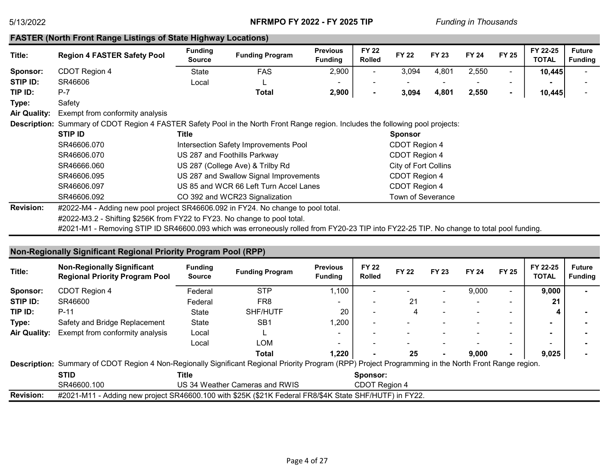### FASTER (North Front Range Listings of State Highway Locations)

| Title:              | <b>Region 4 FASTER Safety Pool</b>                                                                                              | <b>Funding</b><br><b>Source</b> | <b>Funding Program</b>                 | <b>Previous</b><br><b>Funding</b> | <b>FY 22</b><br>Rolled | <b>FY 22</b>             | <b>FY 23</b> | <b>FY 24</b> | <b>FY 25</b>             | FY 22-25<br>TOTAL | <b>Future</b><br><b>Funding</b> |
|---------------------|---------------------------------------------------------------------------------------------------------------------------------|---------------------------------|----------------------------------------|-----------------------------------|------------------------|--------------------------|--------------|--------------|--------------------------|-------------------|---------------------------------|
| Sponsor:            | CDOT Region 4                                                                                                                   | <b>State</b>                    | <b>FAS</b>                             | 2,900                             | ٠                      | 3,094                    | 4,801        | 2,550        | ۰                        | 10,445            |                                 |
| STIP ID:            | SR46606                                                                                                                         | Local                           |                                        |                                   |                        |                          |              |              | $\overline{\phantom{0}}$ |                   |                                 |
| TIP ID:             | $P-7$                                                                                                                           |                                 | Total                                  | 2,900                             | $\blacksquare$         | 3,094                    | 4,801        | 2,550        | ۰                        | 10,445            |                                 |
| Type:               | Safety                                                                                                                          |                                 |                                        |                                   |                        |                          |              |              |                          |                   |                                 |
| <b>Air Quality:</b> | Exempt from conformity analysis                                                                                                 |                                 |                                        |                                   |                        |                          |              |              |                          |                   |                                 |
|                     | Description: Summary of CDOT Region 4 FASTER Safety Pool in the North Front Range region. Includes the following pool projects: |                                 |                                        |                                   |                        |                          |              |              |                          |                   |                                 |
|                     | <b>STIP ID</b>                                                                                                                  | Title                           |                                        |                                   |                        | <b>Sponsor</b>           |              |              |                          |                   |                                 |
|                     | SR46606.070                                                                                                                     |                                 | Intersection Safety Improvements Pool  |                                   |                        | CDOT Region 4            |              |              |                          |                   |                                 |
|                     | SR46606.070                                                                                                                     |                                 | US 287 and Foothills Parkway           |                                   |                        | CDOT Region 4            |              |              |                          |                   |                                 |
|                     | SR46666.060                                                                                                                     |                                 | US 287 (College Ave) & Trilby Rd       |                                   |                        | City of Fort Collins     |              |              |                          |                   |                                 |
|                     | SR46606.095                                                                                                                     |                                 | US 287 and Swallow Signal Improvements |                                   |                        | CDOT Region 4            |              |              |                          |                   |                                 |
|                     | SR46606.097                                                                                                                     |                                 | US 85 and WCR 66 Left Turn Accel Lanes |                                   |                        | CDOT Region 4            |              |              |                          |                   |                                 |
|                     | SR46606.092                                                                                                                     |                                 | CO 392 and WCR23 Signalization         |                                   |                        | <b>Town of Severance</b> |              |              |                          |                   |                                 |
| <b>Revision:</b>    | #2022-M4 - Adding new pool project SR46606.092 in FY24. No change to pool total.                                                |                                 |                                        |                                   |                        |                          |              |              |                          |                   |                                 |
|                     | $\mu$ 0000 MOO - Oki $\mu$ isa COECI/ faas EVOO ta EVOO Ala abaaaa ta aaal tatal.                                               |                                 |                                        |                                   |                        |                          |              |              |                          |                   |                                 |

#2022-M3.2 - Shifting \$256K from FY22 to FY23. No change to pool total.

#2021-M1 - Removing STIP ID SR46600.093 which was erroneously rolled from FY20-23 TIP into FY22-25 TIP. No change to total pool funding.

## Non-Regionally Significant Regional Priority Program Pool (RPP)

| Title:              | <b>Non-Regionally Significant</b><br><b>Regional Priority Program Pool</b> | <b>Funding</b><br><b>Source</b> | <b>Funding Program</b> | <b>Previous</b><br><b>Funding</b> | <b>FY 22</b><br><b>Rolled</b> | <b>FY 22</b> | <b>FY 23</b> | <b>FY 24</b>             | <b>FY 25</b>             | FY 22-25<br><b>TOTAL</b> | <b>Future</b><br><b>Funding</b> |
|---------------------|----------------------------------------------------------------------------|---------------------------------|------------------------|-----------------------------------|-------------------------------|--------------|--------------|--------------------------|--------------------------|--------------------------|---------------------------------|
| <b>Sponsor:</b>     | CDOT Region 4                                                              | Federal                         | <b>STP</b>             | 1,100                             | ۰                             |              |              | 9,000                    | $\overline{\phantom{a}}$ | 9,000                    |                                 |
| STIP ID:            | SR46600                                                                    | Federal                         | FR <sub>8</sub>        | $\overline{\phantom{0}}$          | $\overline{\phantom{0}}$      | 21           |              | $\overline{\phantom{a}}$ | $\overline{\phantom{a}}$ | 21                       |                                 |
| TIP ID:             | $P-11$                                                                     | State                           | SHF/HUTF               | 20                                | -                             |              |              | $\overline{\phantom{a}}$ | $\overline{\phantom{a}}$ | 4                        |                                 |
| Type:               | Safety and Bridge Replacement                                              | <b>State</b>                    | SB <sub>1</sub>        | 1,200                             | $\overline{\phantom{a}}$      | -            |              | $\overline{\phantom{a}}$ | $\overline{\phantom{a}}$ |                          |                                 |
| <b>Air Quality:</b> | Exempt from conformity analysis                                            | Local                           |                        | -                                 |                               |              |              |                          | $\overline{\phantom{a}}$ |                          |                                 |
|                     |                                                                            | Local                           | LOM                    |                                   |                               |              |              |                          | $\overline{\phantom{a}}$ |                          |                                 |
|                     |                                                                            |                                 | Total                  | 1,220                             |                               | 25           |              | 9,000                    | $\blacksquare$           | 9,025                    |                                 |

Description: Summary of CDOT Region 4 Non-Regionally Significant Regional Priority Program (RPP) Project Programming in the North Front Range region.

|                  | STID        | Title                                                                                          | Sponsor:             |  |  |  |  |  |  |  |  |
|------------------|-------------|------------------------------------------------------------------------------------------------|----------------------|--|--|--|--|--|--|--|--|
|                  | SR46600.100 | US 34 Weather Cameras and RWIS                                                                 | <b>CDOT Region 4</b> |  |  |  |  |  |  |  |  |
| <b>Revision:</b> | #2021-M11   | 1 - Adding new project SR46600.100 with \$25K (\$21K Federal FR8/\$4K State SHF/HUTF) in FY22. |                      |  |  |  |  |  |  |  |  |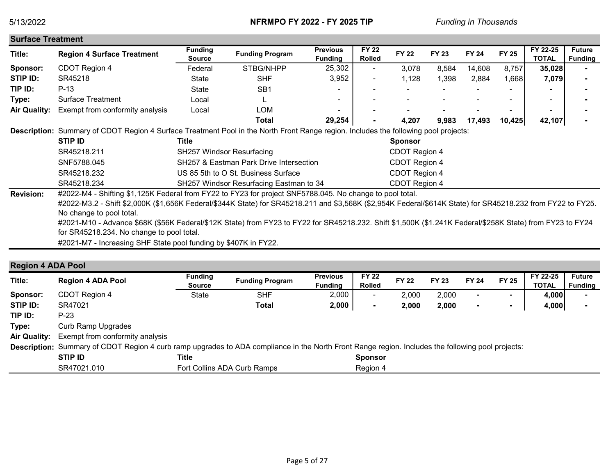| <b>Surface Treatment</b> |                                                                                                                                     |                          |                                         |                                   |                               |                |              |              |                          |                          |                                 |
|--------------------------|-------------------------------------------------------------------------------------------------------------------------------------|--------------------------|-----------------------------------------|-----------------------------------|-------------------------------|----------------|--------------|--------------|--------------------------|--------------------------|---------------------------------|
| Title:                   | <b>Region 4 Surface Treatment</b>                                                                                                   | <b>Funding</b><br>Source | <b>Funding Program</b>                  | <b>Previous</b><br><b>Funding</b> | <b>FY 22</b><br><b>Rolled</b> | <b>FY 22</b>   | <b>FY 23</b> | <b>FY 24</b> | <b>FY 25</b>             | FY 22-25<br><b>TOTAL</b> | <b>Future</b><br><b>Funding</b> |
| Sponsor:                 | CDOT Region 4                                                                                                                       | Federal                  | STBG/NHPP                               | 25,302                            | ٠                             | 3,078          | 8,584        | 14,608       | 8,757                    | 35,028                   |                                 |
| STIP ID:                 | SR45218                                                                                                                             | State                    | <b>SHF</b>                              | 3,952                             | ٠                             | 1,128          | ,398         | 2,884        | 1,668                    | 7,079                    |                                 |
| TIP ID:                  | $P-13$                                                                                                                              | State                    | SB <sub>1</sub>                         |                                   |                               |                |              |              |                          |                          |                                 |
| Type:                    | Surface Treatment                                                                                                                   | Local                    |                                         | $\overline{\phantom{0}}$          |                               |                |              |              | -                        | $\overline{\phantom{0}}$ |                                 |
| <b>Air Quality:</b>      | Exempt from conformity analysis                                                                                                     | Local                    | LOM                                     |                                   |                               |                |              |              | $\overline{\phantom{0}}$ | ۰                        |                                 |
|                          |                                                                                                                                     |                          | Total                                   | 29,254                            |                               | 4,207          | 9,983        | 17,493       | 10,425                   | 42,107                   |                                 |
|                          | Description: Summary of CDOT Region 4 Surface Treatment Pool in the North Front Range region. Includes the following pool projects: |                          |                                         |                                   |                               |                |              |              |                          |                          |                                 |
|                          | <b>STIP ID</b>                                                                                                                      | Title                    |                                         |                                   |                               | <b>Sponsor</b> |              |              |                          |                          |                                 |
|                          | SR45218.211                                                                                                                         |                          | <b>SH257 Windsor Resurfacing</b>        |                                   |                               | CDOT Region 4  |              |              |                          |                          |                                 |
|                          | SNF5788.045                                                                                                                         |                          | SH257 & Eastman Park Drive Intersection |                                   |                               | CDOT Region 4  |              |              |                          |                          |                                 |
|                          | SR45218.232                                                                                                                         |                          | US 85 5th to O St. Business Surface     |                                   |                               | CDOT Region 4  |              |              |                          |                          |                                 |
|                          | SR45218.234                                                                                                                         |                          | SH257 Windsor Resurfacing Eastman to 34 |                                   |                               | CDOT Region 4  |              |              |                          |                          |                                 |
| <b>Revision:</b>         | #2022-M4 - Shifting \$1,125K Federal from FY22 to FY23 for project SNF5788.045. No change to pool total.                            |                          |                                         |                                   |                               |                |              |              |                          |                          |                                 |

#2022-M3.2 - Shift \$2,000K (\$1,656K Federal/\$344K State) for SR45218.211 and \$3,568K (\$2,954K Federal/\$614K State) for SR45218.232 from FY22 to FY25. No change to pool total.

#2021-M10 - Advance \$68K (\$56K Federal/\$12K State) from FY23 to FY22 for SR45218.232. Shift \$1,500K (\$1.241K Federal/\$258K State) from FY23 to FY24 for SR45218.234. No change to pool total.

#2021-M7 - Increasing SHF State pool funding by \$407K in FY22.

### Region 4 ADA Pool

| Title:              | <b>Region 4 ADA Pool</b>                                                                                                                          | <b>Funding</b><br><b>Source</b> | <b>Funding Program</b> | <b>Previous</b><br><b>Funding</b> | <b>FY 22</b><br><b>Rolled</b> | <b>FY 22</b> | <b>FY 23</b> | <b>FY 24</b> | <b>FY 25</b> | FY 22-25<br><b>TOTAL</b> | <b>Future</b><br><b>Funding</b> |
|---------------------|---------------------------------------------------------------------------------------------------------------------------------------------------|---------------------------------|------------------------|-----------------------------------|-------------------------------|--------------|--------------|--------------|--------------|--------------------------|---------------------------------|
| Sponsor:            | CDOT Region 4                                                                                                                                     | State                           | <b>SHF</b>             | 2,000                             |                               | 2.000        | 2,000        |              |              | 4,000                    |                                 |
| STIP ID:            | SR47021                                                                                                                                           |                                 | Total                  | 2,000                             | $\blacksquare$                | 2,000        | 2,000        |              |              | 4,000                    |                                 |
| TIP ID:             | $P-23$                                                                                                                                            |                                 |                        |                                   |                               |              |              |              |              |                          |                                 |
| Type:               | <b>Curb Ramp Upgrades</b>                                                                                                                         |                                 |                        |                                   |                               |              |              |              |              |                          |                                 |
| <b>Air Quality:</b> | Exempt from conformity analysis                                                                                                                   |                                 |                        |                                   |                               |              |              |              |              |                          |                                 |
|                     | Description: Summary of CDOT Region 4 curb ramp upgrades to ADA compliance in the North Front Range region. Includes the following pool projects: |                                 |                        |                                   |                               |              |              |              |              |                          |                                 |
|                     | <b>STIP ID</b>                                                                                                                                    | Title                           |                        |                                   | <b>Sponsor</b>                |              |              |              |              |                          |                                 |
|                     | SR47021.010                                                                                                                                       | Fort Collins ADA Curb Ramps     |                        |                                   | Region 4                      |              |              |              |              |                          |                                 |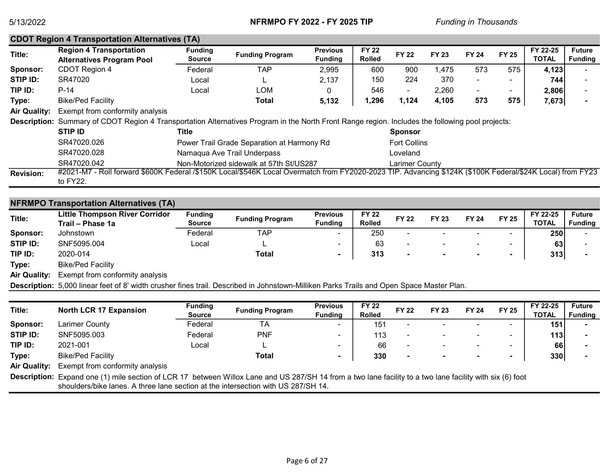|                     | <b>CDOT Region 4 Transportation Alternatives (TA)</b>                                                                                                     |                          |                                            |                                   |                               |                       |              |                          |              |                   |                                 |
|---------------------|-----------------------------------------------------------------------------------------------------------------------------------------------------------|--------------------------|--------------------------------------------|-----------------------------------|-------------------------------|-----------------------|--------------|--------------------------|--------------|-------------------|---------------------------------|
| Title:              | <b>Region 4 Transportation</b><br><b>Alternatives Program Pool</b>                                                                                        | <b>Funding</b><br>Source | <b>Funding Program</b>                     | <b>Previous</b><br><b>Funding</b> | <b>FY 22</b><br><b>Rolled</b> | <b>FY 22</b>          | <b>FY 23</b> | <b>FY 24</b>             | <b>FY 25</b> | FY 22-25<br>TOTAL | <b>Future</b><br><b>Funding</b> |
| Sponsor:            | CDOT Region 4                                                                                                                                             | Federal                  | <b>TAP</b>                                 | 2,995                             | 600                           | 900                   | 1.475        | 573                      | 575          | 4,123             |                                 |
| STIP ID:            | SR47020                                                                                                                                                   | Local                    |                                            | 2,137                             | 150                           | 224                   | 370          | $\sim$                   |              | 744               |                                 |
| TIP ID:             | $P-14$                                                                                                                                                    | Local                    | LOM                                        |                                   | 546                           | ۰.                    | 2,260        | $\overline{\phantom{a}}$ | ۰            | 2,806             |                                 |
| Type:               | <b>Bike/Ped Facility</b>                                                                                                                                  |                          | Total                                      | 5,132                             | 1,296                         | 1,124                 | 4,105        | 573                      | 575          | 7,673             |                                 |
| <b>Air Quality:</b> | Exempt from conformity analysis                                                                                                                           |                          |                                            |                                   |                               |                       |              |                          |              |                   |                                 |
|                     | Description: Summary of CDOT Region 4 Transportation Alternatives Program in the North Front Range region. Includes the following pool projects:          |                          |                                            |                                   |                               |                       |              |                          |              |                   |                                 |
|                     | STIP ID                                                                                                                                                   | Title                    |                                            |                                   |                               | <b>Sponsor</b>        |              |                          |              |                   |                                 |
|                     | SR47020.026                                                                                                                                               |                          | Power Trail Grade Separation at Harmony Rd |                                   |                               | <b>Fort Collins</b>   |              |                          |              |                   |                                 |
|                     | SR47020.028                                                                                                                                               |                          | Namaqua Ave Trail Underpass                |                                   |                               | Loveland              |              |                          |              |                   |                                 |
|                     | SR47020.042                                                                                                                                               |                          | Non-Motorized sidewalk at 57th St/US287    |                                   |                               | <b>Larimer County</b> |              |                          |              |                   |                                 |
| <b>Revision:</b>    | #2021-M7 - Roll forward \$600K Federal /\$150K Local/\$546K Local Overmatch from FY2020-2023 TIP. Advancing \$124K (\$100K Federal/\$24K Local) from FY23 |                          |                                            |                                   |                               |                       |              |                          |              |                   |                                 |
|                     | to FY22.                                                                                                                                                  |                          |                                            |                                   |                               |                       |              |                          |              |                   |                                 |

### NFRMPO Transportation Alternatives (TA)

| Title:   | <b>Little Thompson River Corridor</b><br>Trail – Phase 1a                                                                         | <b>Funding</b><br><b>Source</b> | <b>Funding Program</b> | <b>Previous</b><br>Fundina | <b>FY 22</b><br><b>Rolled</b> | <b>FY 22</b>             | <b>FY 23</b> | <b>FY 24</b> | <b>FY 25</b>             | FY 22-25<br><b>TOTAL</b> | <b>Future</b><br><b>Funding</b> |
|----------|-----------------------------------------------------------------------------------------------------------------------------------|---------------------------------|------------------------|----------------------------|-------------------------------|--------------------------|--------------|--------------|--------------------------|--------------------------|---------------------------------|
| Sponsor: | Johnstown                                                                                                                         | Federal                         | TAP                    |                            | 250                           |                          |              | -            | $\overline{\phantom{0}}$ | 250                      |                                 |
| STIP ID: | SNF5095.004                                                                                                                       | Local                           |                        |                            | 63                            |                          |              | $\sim$       | $\overline{\phantom{0}}$ | 63                       |                                 |
| TIP ID:  | 2020-014                                                                                                                          |                                 | <b>Total</b>           |                            | 313                           | $\overline{\phantom{0}}$ |              |              | $\blacksquare$           | 313                      |                                 |
|          | $\mathbf{D}^{\mathrm{H}}$ $\mathbf{D}^{\mathrm{H}}$ $\mathbf{D}^{\mathrm{H}}$ $\mathbf{D}^{\mathrm{H}}$ $\mathbf{D}^{\mathrm{H}}$ |                                 |                        |                            |                               |                          |              |              |                          |                          |                                 |

Type: Bike/Ped Facility

Air Quality: Exempt from conformity analysis

Description: 5,000 linear feet of 8' width crusher fines trail. Described in Johnstown-Milliken Parks Trails and Open Space Master Plan.

| Title:              |                                 | <b>Funding</b> |                        | <b>Previous</b>          | <b>FY 22</b>  | <b>FY 22</b>             | <b>FY 23</b> | <b>FY 24</b>             | <b>FY 25</b>             | FY 22-25     | <b>Future</b>  |
|---------------------|---------------------------------|----------------|------------------------|--------------------------|---------------|--------------------------|--------------|--------------------------|--------------------------|--------------|----------------|
|                     | <b>North LCR 17 Expansion</b>   | <b>Source</b>  | <b>Funding Program</b> | <b>Fundina</b>           | <b>Rolled</b> |                          |              |                          |                          | <b>TOTAL</b> | <b>Funding</b> |
| Sponsor:            | Larimer County                  | Federal        | ТA                     |                          | 151           | $\overline{\phantom{0}}$ |              | $\sim$                   | $\overline{\phantom{a}}$ | 151          |                |
| STIP ID:            | SNF5095.003                     | Federal        | <b>PNF</b>             | $\overline{\phantom{a}}$ | 113           | $\overline{\phantom{a}}$ |              | $\overline{\phantom{a}}$ | $\overline{\phantom{a}}$ | 113          |                |
| TIP ID:             | 2021-001                        | Local          |                        | -                        | 66            | $\overline{\phantom{a}}$ |              | $\sim$                   | $\overline{\phantom{a}}$ | 66           |                |
| Type:               | <b>Bike/Ped Facility</b>        |                | <b>Total</b>           |                          | 330           | $\overline{\phantom{a}}$ |              | $\sim$                   |                          | 330          |                |
| <b>Air Quality:</b> | Exempt from conformity analysis |                |                        |                          |               |                          |              |                          |                          |              |                |

Description: Expand one (1) mile section of LCR 17 between Willox Lane and US 287/SH 14 from a two lane facility to a two lane facility with six (6) foot shoulders/bike lanes. A three lane section at the intersection with US 287/SH 14.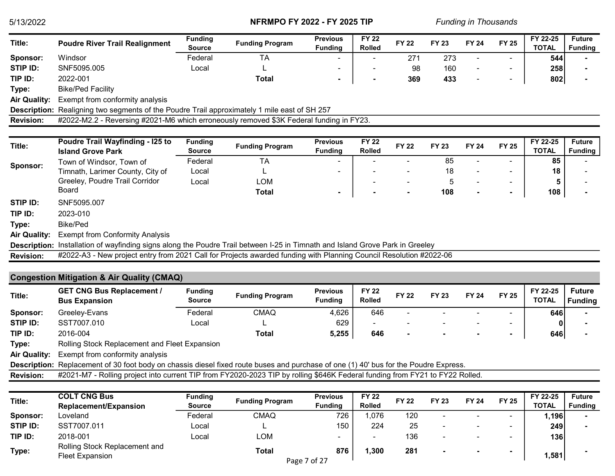| Title:              | <b>Poudre River Trail Realignment</b>                                                                                                | Funding<br><b>Source</b>        | <b>Funding Program</b> | <b>Previous</b><br><b>Funding</b> | <b>FY 22</b><br><b>Rolled</b> | <b>FY 22</b> | <b>FY 23</b> | <b>FY 24</b> | <b>FY 25</b>   | FY 22-25<br><b>TOTAL</b> | <b>Future</b><br><b>Funding</b> |
|---------------------|--------------------------------------------------------------------------------------------------------------------------------------|---------------------------------|------------------------|-----------------------------------|-------------------------------|--------------|--------------|--------------|----------------|--------------------------|---------------------------------|
| Sponsor:            | Windsor                                                                                                                              | Federal                         | <b>TA</b>              |                                   |                               | 271          | 273          |              |                | 544                      |                                 |
| <b>STIP ID:</b>     | SNF5095.005                                                                                                                          | Local                           |                        |                                   |                               | 98           | 160          |              | $\blacksquare$ | 258                      |                                 |
| TIP ID:             | 2022-001                                                                                                                             |                                 | <b>Total</b>           |                                   |                               | 369          | 433          |              | $\blacksquare$ | 802                      |                                 |
| Type:               | <b>Bike/Ped Facility</b>                                                                                                             |                                 |                        |                                   |                               |              |              |              |                |                          |                                 |
| <b>Air Quality:</b> | Exempt from conformity analysis                                                                                                      |                                 |                        |                                   |                               |              |              |              |                |                          |                                 |
|                     | Description: Realigning two segments of the Poudre Trail approximately 1 mile east of SH 257                                         |                                 |                        |                                   |                               |              |              |              |                |                          |                                 |
| <b>Revision:</b>    | #2022-M2.2 - Reversing #2021-M6 which erroneously removed \$3K Federal funding in FY23.                                              |                                 |                        |                                   |                               |              |              |              |                |                          |                                 |
|                     |                                                                                                                                      |                                 |                        |                                   |                               |              |              |              |                |                          |                                 |
| Title:              | <b>Poudre Trail Wayfinding - I25 to</b><br><b>Island Grove Park</b>                                                                  | <b>Funding</b><br><b>Source</b> | <b>Funding Program</b> | <b>Previous</b><br><b>Funding</b> | <b>FY 22</b><br><b>Rolled</b> | <b>FY 22</b> | <b>FY 23</b> | <b>FY 24</b> | <b>FY 25</b>   | FY 22-25<br><b>TOTAL</b> | <b>Future</b><br><b>Funding</b> |
| Sponsor:            | Town of Windsor, Town of                                                                                                             | Federal                         | <b>TA</b>              |                                   |                               |              | 85           |              | $\overline{a}$ | 85                       |                                 |
|                     | Timnath, Larimer County, City of                                                                                                     | Local                           | L                      |                                   |                               |              | 18           |              |                | 18                       |                                 |
|                     | Greeley, Poudre Trail Corridor                                                                                                       | Local                           | <b>LOM</b>             |                                   |                               |              | 5            |              | $\blacksquare$ | 5                        |                                 |
|                     | <b>Board</b>                                                                                                                         |                                 | <b>Total</b>           | $\blacksquare$                    |                               |              | 108          |              | $\blacksquare$ | 108                      |                                 |
| STIP ID:            | SNF5095.007                                                                                                                          |                                 |                        |                                   |                               |              |              |              |                |                          |                                 |
| TIP ID:             | 2023-010                                                                                                                             |                                 |                        |                                   |                               |              |              |              |                |                          |                                 |
| Type:               | <b>Bike/Ped</b>                                                                                                                      |                                 |                        |                                   |                               |              |              |              |                |                          |                                 |
| <b>Air Quality:</b> | <b>Exempt from Conformity Analysis</b>                                                                                               |                                 |                        |                                   |                               |              |              |              |                |                          |                                 |
| <b>Description:</b> | Installation of wayfinding signs along the Poudre Trail between I-25 in Timnath and Island Grove Park in Greeley                     |                                 |                        |                                   |                               |              |              |              |                |                          |                                 |
| <b>Revision:</b>    | #2022-A3 - New project entry from 2021 Call for Projects awarded funding with Planning Council Resolution #2022-06                   |                                 |                        |                                   |                               |              |              |              |                |                          |                                 |
|                     | <b>Congestion Mitigation &amp; Air Quality (CMAQ)</b>                                                                                |                                 |                        |                                   |                               |              |              |              |                |                          |                                 |
| Title:              | <b>GET CNG Bus Replacement /</b><br><b>Bus Expansion</b>                                                                             | <b>Funding</b><br><b>Source</b> | <b>Funding Program</b> | <b>Previous</b><br><b>Funding</b> | <b>FY 22</b><br><b>Rolled</b> | <b>FY 22</b> | <b>FY 23</b> | <b>FY 24</b> | <b>FY 25</b>   | FY 22-25<br><b>TOTAL</b> | <b>Future</b><br><b>Funding</b> |
| Sponsor:            | Greeley-Evans                                                                                                                        | Federal                         | <b>CMAQ</b>            | 4,626                             | 646                           |              |              |              | $\blacksquare$ | 646                      |                                 |
| STIP ID:            | SST7007.010                                                                                                                          | Local                           |                        | 629                               |                               |              |              |              |                | n                        |                                 |
| TIP ID:             | 2016-004                                                                                                                             |                                 | <b>Total</b>           | 5,255                             | 646                           |              |              |              | $\blacksquare$ | 646                      |                                 |
| Type:               | Rolling Stock Replacement and Fleet Expansion                                                                                        |                                 |                        |                                   |                               |              |              |              |                |                          |                                 |
| <b>Air Quality:</b> | Exempt from conformity analysis                                                                                                      |                                 |                        |                                   |                               |              |              |              |                |                          |                                 |
|                     | Description: Replacement of 30 foot body on chassis diesel fixed route buses and purchase of one (1) 40' bus for the Poudre Express. |                                 |                        |                                   |                               |              |              |              |                |                          |                                 |
| <b>Revision:</b>    | #2021-M7 - Rolling project into current TIP from FY2020-2023 TIP by rolling \$646K Federal funding from FY21 to FY22 Rolled.         |                                 |                        |                                   |                               |              |              |              |                |                          |                                 |
|                     |                                                                                                                                      |                                 |                        |                                   |                               |              |              |              |                |                          |                                 |

| Title:   | <b>COLT CNG Bus</b>                              | <b>Funding</b> | <b>Funding Program</b>       | <b>Previous</b> | <b>FY 22</b>  | <b>FY 22</b> | <b>FY 23</b>             | <b>FY 24</b>             | <b>FY 25</b>             | FY 22-25     | <b>Future</b>  |
|----------|--------------------------------------------------|----------------|------------------------------|-----------------|---------------|--------------|--------------------------|--------------------------|--------------------------|--------------|----------------|
|          | <b>Replacement/Expansion</b>                     | <b>Source</b>  |                              | <b>Fundina</b>  | <b>Rolled</b> |              |                          |                          |                          | <b>TOTAL</b> | <b>Funding</b> |
| Sponsor: | Loveland                                         | Federal        | <b>CMAQ</b>                  | 726             | ,076          | 120          |                          |                          | $\overline{\phantom{a}}$ | ا1,196       |                |
| STIP ID: | SST7007.011                                      | Local          |                              | 150             | 224           | 25           | $\overline{\phantom{0}}$ | $\overline{\phantom{a}}$ | $\sim$                   | 249          |                |
| TIP ID:  | 2018-001                                         | Local          | LOM                          |                 | -             | 136          | -                        | -                        | $\overline{\phantom{a}}$ | 136          |                |
| Type:    | Rolling Stock Replacement and<br>Fleet Expansion |                | <b>Total</b><br>Page 7 of 27 | 876             | , 300         | 281          |                          |                          |                          | 1,581        |                |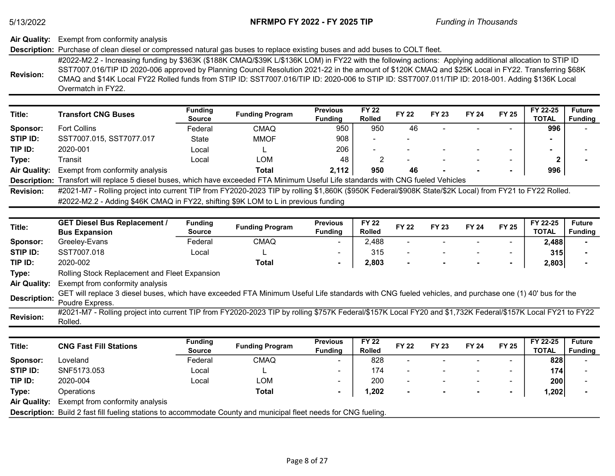## Air Quality: Exempt from conformity analysis

### Description: Purchase of clean diesel or compressed natural gas buses to replace existing buses and add buses to COLT fleet.

|                  | #2022-M2.2 - Increasing funding by \$363K (\$188K CMAQ/\$39K L/\$136K LOM) in FY22 with the following actions: Applying additional allocation to STIP ID |
|------------------|----------------------------------------------------------------------------------------------------------------------------------------------------------|
|                  | SST7007.016/TIP ID 2020-006 approved by Planning Council Resolution 2021-22 in the amount of \$120K CMAQ and \$25K Local in FY22. Transferring \$68K     |
| <b>Revision:</b> | CMAQ and \$14K Local FY22 Rolled funds from STIP ID: SST7007.016/TIP ID: 2020-006 to STIP ID: SST7007.011/TIP ID: 2018-001. Adding \$136K Local          |
|                  | Overmatch in FY22.                                                                                                                                       |

| Title:              | <b>Transfort CNG Buses</b>                                                                                                         | <b>Funding</b><br><b>Source</b> | <b>Funding Program</b> | <b>Previous</b><br><b>Fundina</b> | <b>FY 22</b><br><b>Rolled</b> | <b>FY 22</b> | <b>FY 23</b> | <b>FY 24</b> | <b>FY 25</b>             | FY 22-25<br><b>TOTAL</b> | <b>Future</b><br><b>Funding</b> |
|---------------------|------------------------------------------------------------------------------------------------------------------------------------|---------------------------------|------------------------|-----------------------------------|-------------------------------|--------------|--------------|--------------|--------------------------|--------------------------|---------------------------------|
| Sponsor:            | <b>Fort Collins</b>                                                                                                                | Federal                         | CMAQ                   | 950                               | 950                           | 46           |              |              | $\overline{\phantom{0}}$ | 996                      |                                 |
| STIP ID:            | SST7007.015, SST7077.017                                                                                                           | State                           | <b>MMOF</b>            | 908                               |                               |              |              |              |                          |                          |                                 |
| TIP ID:             | 2020-001                                                                                                                           | Local                           |                        | 206                               |                               |              |              |              | -                        |                          |                                 |
| Type:               | Transit                                                                                                                            | Local                           | LOM                    | 48                                |                               |              |              |              | -                        |                          |                                 |
| <b>Air Quality:</b> | Exempt from conformity analysis                                                                                                    |                                 | Total                  | 2,112                             | 950                           | 46           |              |              |                          | 996                      |                                 |
|                     | Description: Transfort will replace 5 diesel buses, which have exceeded FTA Minimum Useful Life standards with CNG fueled Vehicles |                                 |                        |                                   |                               |              |              |              |                          |                          |                                 |

Revision: #2022-M2.2 - Adding \$46K CMAQ in FY22, shifting \$9K LOM to L in previous funding #2021-M7 - Rolling project into current TIP from FY2020-2023 TIP by rolling \$1,860K (\$950K Federal/\$908K State/\$2K Local) from FY21 to FY22 Rolled.

| Title:              | <b>GET Diesel Bus Replacement /</b><br><b>Bus Expansion</b>                                                                                           | <b>Funding</b><br>Source | <b>Funding Program</b> | <b>Previous</b><br><b>Funding</b> | <b>FY 22</b><br><b>Rolled</b> | <b>FY 22</b>             | <b>FY 23</b> | <b>FY 24</b> | <b>FY 25</b>   | FY 22-25<br><b>TOTAL</b> | <b>Future</b><br><b>Funding</b> |
|---------------------|-------------------------------------------------------------------------------------------------------------------------------------------------------|--------------------------|------------------------|-----------------------------------|-------------------------------|--------------------------|--------------|--------------|----------------|--------------------------|---------------------------------|
| Sponsor:            | Greeley-Evans                                                                                                                                         | Federal                  | <b>CMAQ</b>            | $\sim$                            | 2,488                         | $\overline{\phantom{a}}$ |              |              |                | 2,488                    |                                 |
| STIP ID:            | SST7007.018                                                                                                                                           | Local                    |                        | $\overline{\phantom{0}}$          | 315                           | $\overline{\phantom{a}}$ |              |              |                | 315                      |                                 |
| TIP ID:             | 2020-002                                                                                                                                              |                          | Total                  |                                   | 2,803                         | $\blacksquare$           |              |              | $\blacksquare$ | 2,803                    |                                 |
| Type:               | Rolling Stock Replacement and Fleet Expansion                                                                                                         |                          |                        |                                   |                               |                          |              |              |                |                          |                                 |
| <b>Air Quality:</b> | Exempt from conformity analysis                                                                                                                       |                          |                        |                                   |                               |                          |              |              |                |                          |                                 |
| <b>Description:</b> | GET will replace 3 diesel buses, which have exceeded FTA Minimum Useful Life standards with CNG fueled vehicles, and purchase one (1) 40' bus for the |                          |                        |                                   |                               |                          |              |              |                |                          |                                 |
|                     | Poudre Express.                                                                                                                                       |                          |                        |                                   |                               |                          |              |              |                |                          |                                 |
|                     | 0021 M7 Delling project into ourrent TID from EV2020 2022 TID by relling @757K Eaders(@157K) Loop(EV20 and @1 722K Eaders(@157K) Loop(EV21 to EV22    |                          |                        |                                   |                               |                          |              |              |                |                          |                                 |

Revision: #2021-M7 - Rolling project into current TIP from FY2020-2023 TIP by rolling \$757K Federal/\$157K Local FY20 and \$1,732K Federal/\$157K Local FY21 to FY22 Rolled.

| Title:              | <b>CNG Fast Fill Stations</b>                                                                                           | <b>Funding</b><br><b>Source</b> | <b>Funding Program</b> | <b>Previous</b><br><b>Funding</b> | <b>FY 22</b><br><b>Rolled</b> | <b>FY 22</b>             | <b>FY 23</b> | <b>FY 24</b>   | <b>FY 25</b>             | FY 22-25<br><b>TOTAL</b> | <b>Future</b><br><b>Funding</b> |
|---------------------|-------------------------------------------------------------------------------------------------------------------------|---------------------------------|------------------------|-----------------------------------|-------------------------------|--------------------------|--------------|----------------|--------------------------|--------------------------|---------------------------------|
| Sponsor:            | _oveland                                                                                                                | Federal                         | <b>CMAQ</b>            | $\sim$                            | 828                           | $\overline{\phantom{0}}$ |              |                | -                        | 8281                     |                                 |
| STIP ID:            | SNF5173.053                                                                                                             | Local                           | ┕                      | ۰                                 | 174                           | -                        |              |                | $\overline{\phantom{a}}$ | 174                      |                                 |
| TIP ID:             | 2020-004                                                                                                                | Local                           | LOM                    | -                                 | 200                           | -                        |              |                | -                        | 200                      |                                 |
| Type:               | Operations                                                                                                              |                                 | Total                  |                                   | 1,202                         |                          |              | $\blacksquare$ | $\blacksquare$           | 1,202                    |                                 |
| <b>Air Quality:</b> | Exempt from conformity analysis                                                                                         |                                 |                        |                                   |                               |                          |              |                |                          |                          |                                 |
|                     | <b>Description:</b> Build 2 fast fill fueling stations to accommodate County and municipal fleet needs for CNG fueling. |                                 |                        |                                   |                               |                          |              |                |                          |                          |                                 |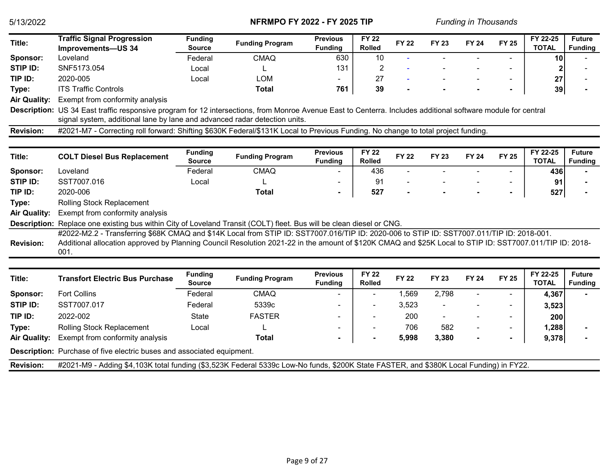| Title:              | <b>Traffic Signal Progression</b>                                                                                                                                                                                                                                                                             | <b>Funding</b>                  | <b>Funding Program</b> | <b>Previous</b>                   | <b>FY 22</b>                  | <b>FY 22</b> | <b>FY 23</b> | <b>FY 24</b> | <b>FY 25</b>   | FY 22-25                 | <b>Future</b>                   |
|---------------------|---------------------------------------------------------------------------------------------------------------------------------------------------------------------------------------------------------------------------------------------------------------------------------------------------------------|---------------------------------|------------------------|-----------------------------------|-------------------------------|--------------|--------------|--------------|----------------|--------------------------|---------------------------------|
|                     | Improvements-US 34                                                                                                                                                                                                                                                                                            | <b>Source</b>                   |                        | <b>Funding</b>                    | <b>Rolled</b>                 |              |              |              |                | <b>TOTAL</b>             | <b>Funding</b>                  |
| Sponsor:            | Loveland                                                                                                                                                                                                                                                                                                      | Federal                         | <b>CMAQ</b>            | 630                               | 10                            |              |              |              |                | 10                       |                                 |
| STIP ID:            | SNF5173.054                                                                                                                                                                                                                                                                                                   | Local                           |                        | 131                               | $\overline{c}$                |              |              |              |                |                          |                                 |
| TIP ID:             | 2020-005                                                                                                                                                                                                                                                                                                      | Local                           | <b>LOM</b>             |                                   | 27                            |              |              |              |                | 27                       |                                 |
| Type:               | <b>ITS Traffic Controls</b>                                                                                                                                                                                                                                                                                   |                                 | <b>Total</b>           | 761                               | 39                            |              |              |              | ۰              | 39                       |                                 |
| <b>Air Quality:</b> | Exempt from conformity analysis                                                                                                                                                                                                                                                                               |                                 |                        |                                   |                               |              |              |              |                |                          |                                 |
|                     | Description: US 34 East traffic responsive program for 12 intersections, from Monroe Avenue East to Centerra. Includes additional software module for central<br>signal system, additional lane by lane and advanced radar detection units.                                                                   |                                 |                        |                                   |                               |              |              |              |                |                          |                                 |
| <b>Revision:</b>    | #2021-M7 - Correcting roll forward: Shifting \$630K Federal/\$131K Local to Previous Funding. No change to total project funding.                                                                                                                                                                             |                                 |                        |                                   |                               |              |              |              |                |                          |                                 |
|                     |                                                                                                                                                                                                                                                                                                               |                                 |                        |                                   |                               |              |              |              |                |                          |                                 |
| Title:              | <b>COLT Diesel Bus Replacement</b>                                                                                                                                                                                                                                                                            | <b>Funding</b><br><b>Source</b> | <b>Funding Program</b> | <b>Previous</b><br><b>Funding</b> | <b>FY 22</b><br><b>Rolled</b> | <b>FY 22</b> | <b>FY 23</b> | <b>FY 24</b> | <b>FY 25</b>   | FY 22-25<br><b>TOTAL</b> | <b>Future</b><br><b>Funding</b> |
| Sponsor:            | Loveland                                                                                                                                                                                                                                                                                                      | Federal                         | <b>CMAQ</b>            |                                   | 436                           | $\sim$       |              |              | $\mathbf{r}$   | 436                      |                                 |
| STIP ID:            | SST7007.016                                                                                                                                                                                                                                                                                                   | Local                           |                        |                                   | 91                            |              |              |              |                | 91                       |                                 |
| TIP ID:             | 2020-006                                                                                                                                                                                                                                                                                                      |                                 | <b>Total</b>           | $\blacksquare$                    | 527                           |              |              |              |                | 527                      |                                 |
| Type:               | Rolling Stock Replacement                                                                                                                                                                                                                                                                                     |                                 |                        |                                   |                               |              |              |              |                |                          |                                 |
| <b>Air Quality:</b> | Exempt from conformity analysis                                                                                                                                                                                                                                                                               |                                 |                        |                                   |                               |              |              |              |                |                          |                                 |
|                     | Description: Replace one existing bus within City of Loveland Transit (COLT) fleet. Bus will be clean diesel or CNG.                                                                                                                                                                                          |                                 |                        |                                   |                               |              |              |              |                |                          |                                 |
| <b>Revision:</b>    | #2022-M2.2 - Transferring \$68K CMAQ and \$14K Local from STIP ID: SST7007.016/TIP ID: 2020-006 to STIP ID: SST7007.011/TIP ID: 2018-001.<br>Additional allocation approved by Planning Council Resolution 2021-22 in the amount of \$120K CMAQ and \$25K Local to STIP ID: SST7007.011/TIP ID: 2018-<br>001. |                                 |                        |                                   |                               |              |              |              |                |                          |                                 |
| Title:              | <b>Transfort Electric Bus Purchase</b>                                                                                                                                                                                                                                                                        | <b>Funding</b><br><b>Source</b> | <b>Funding Program</b> | <b>Previous</b><br><b>Funding</b> | <b>FY 22</b><br><b>Rolled</b> | <b>FY 22</b> | <b>FY 23</b> | <b>FY 24</b> | <b>FY 25</b>   | FY 22-25<br><b>TOTAL</b> | <b>Future</b><br><b>Funding</b> |
| Sponsor:            | <b>Fort Collins</b>                                                                                                                                                                                                                                                                                           | Federal                         | <b>CMAQ</b>            |                                   |                               | 1,569        | 2,798        |              |                | 4,367                    |                                 |
| STIP ID:            | SST7007.017                                                                                                                                                                                                                                                                                                   | Federal                         | 5339c                  |                                   |                               | 3,523        |              |              |                | 3,523                    |                                 |
| TIP ID:             | 2022-002                                                                                                                                                                                                                                                                                                      | <b>State</b>                    | <b>FASTER</b>          |                                   |                               | 200          |              |              |                | 200                      |                                 |
| Type:               | <b>Rolling Stock Replacement</b>                                                                                                                                                                                                                                                                              | Local                           |                        |                                   |                               | 706          | 582          |              | $\blacksquare$ | 1,288                    |                                 |
| <b>Air Quality:</b> | Exempt from conformity analysis                                                                                                                                                                                                                                                                               |                                 | <b>Total</b>           |                                   |                               | 5,998        | 3,380        |              | $\blacksquare$ | 9,378                    |                                 |
|                     | <b>Description:</b> Purchase of five electric buses and associated equipment.                                                                                                                                                                                                                                 |                                 |                        |                                   |                               |              |              |              |                |                          |                                 |
| <b>Revision:</b>    | #2021-M9 - Adding \$4,103K total funding (\$3,523K Federal 5339c Low-No funds, \$200K State FASTER, and \$380K Local Funding) in FY22.                                                                                                                                                                        |                                 |                        |                                   |                               |              |              |              |                |                          |                                 |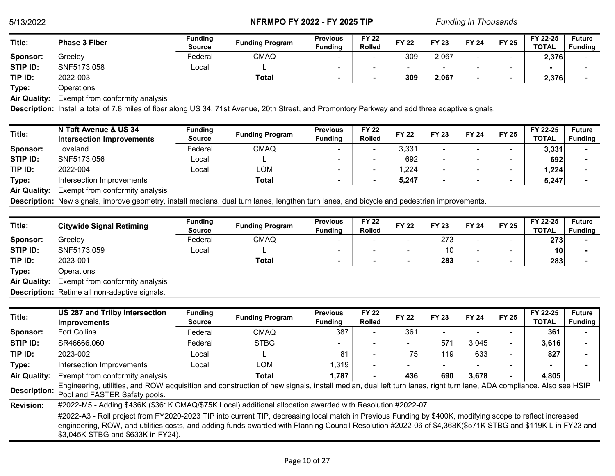| Title:   | <b>Phase 3 Fiber</b> | Funding<br><b>Source</b> | <b>Funding Program</b> | <b>Previous</b><br><b>Fundina</b> | <b>FY 22</b><br><b>Rolled</b> | <b>FY 22</b>             | <b>FY 23</b> | <b>FY 24</b> | <b>FY 25</b>             | FY 22-25<br><b>TOTAL</b> | <b>Future</b><br><b>Funding</b> |  |
|----------|----------------------|--------------------------|------------------------|-----------------------------------|-------------------------------|--------------------------|--------------|--------------|--------------------------|--------------------------|---------------------------------|--|
| Sponsor: | Greeley              | Federal                  | <b>CMAQ</b>            | -                                 |                               | 309                      | 2,067        |              | $\overline{\phantom{a}}$ | 2,376                    |                                 |  |
| STIP ID: | SNF5173.058          | ∟ocal                    |                        | -                                 |                               | $\overline{\phantom{a}}$ |              |              | -                        |                          |                                 |  |
| TIP ID:  | 2022-003             |                          | <b>Total</b>           |                                   | $\overline{\phantom{a}}$      | 309                      | 2,067        |              | $\overline{\phantom{a}}$ | 2,376                    |                                 |  |
|          |                      |                          |                        |                                   |                               |                          |              |              |                          |                          |                                 |  |

Type: Operations

Air Quality: Exempt from conformity analysis

Description: Install a total of 7.8 miles of fiber along US 34, 71st Avenue, 20th Street, and Promontory Parkway and add three adaptive signals.

| Title:              | N Taft Avenue & US 34           | Funding |                        | <b>Previous</b>          | <b>FY 22</b>  | <b>FY 22</b> | <b>FY 23</b>   | <b>FY 24</b>             | <b>FY 25</b>             | FY 22-25     | <b>Future</b>  |
|---------------------|---------------------------------|---------|------------------------|--------------------------|---------------|--------------|----------------|--------------------------|--------------------------|--------------|----------------|
|                     | Intersection Improvements       | Source  | <b>Funding Program</b> | <b>Funding</b>           | <b>Rolled</b> |              |                |                          |                          | <b>TOTAL</b> | <b>Funding</b> |
| Sponsor:            | Loveland                        | Federal | <b>CMAQ</b>            | $\sim$                   |               | 3,331        |                | $\overline{\phantom{a}}$ | $\overline{\phantom{a}}$ | 3,331        |                |
| STIP ID:            | SNF5173.056                     | Local   |                        | -                        |               | 692          |                | $\overline{\phantom{a}}$ | $\overline{\phantom{0}}$ | 692          |                |
| TIP ID:             | 2022-004                        | Local   | LOM                    | $\overline{\phantom{0}}$ | -             | ,224         |                |                          | $\overline{\phantom{0}}$ | 1,224        |                |
| Type:               | Intersection Improvements       |         | Total                  |                          |               | 5,247        | $\blacksquare$ |                          | $\blacksquare$           | 5,247        |                |
| <b>Air Quality:</b> | Exempt from conformity analysis |         |                        |                          |               |              |                |                          |                          |              |                |
|                     |                                 |         |                        |                          |               |              |                |                          |                          |              |                |

Description: New signals, improve geometry, install medians, dual turn lanes, lengthen turn lanes, and bicycle and pedestrian improvements.

| Title:              | <b>Citywide Signal Retiming</b>                      | <b>Funding</b><br><b>Source</b> | <b>Funding Program</b> | <b>Previous</b><br><b>Funding</b> | <b>FY 22</b><br><b>Rolled</b> | <b>FY 22</b>   | <b>FY 23</b> | <b>FY 24</b>             | <b>FY 25</b>             | FY 22-25<br><b>TOTAL</b> | <b>Future</b><br><b>Funding</b> |
|---------------------|------------------------------------------------------|---------------------------------|------------------------|-----------------------------------|-------------------------------|----------------|--------------|--------------------------|--------------------------|--------------------------|---------------------------------|
| Sponsor:            | Greeley                                              | Federal                         | <b>CMAQ</b>            | ۰                                 |                               | $\sim$         | 273          | -                        | $\sim$                   | 273                      |                                 |
| STIP ID:            | SNF5173.059                                          | Local                           |                        | $\overline{\phantom{a}}$          |                               |                | 10           | $\overline{\phantom{0}}$ | $\overline{\phantom{a}}$ | 10                       |                                 |
| TIP ID:             | 2023-001                                             |                                 | <b>Total</b>           |                                   |                               | $\blacksquare$ | 283          |                          |                          | 283                      |                                 |
| Type:               | Operations                                           |                                 |                        |                                   |                               |                |              |                          |                          |                          |                                 |
| <b>Air Quality:</b> | Exempt from conformity analysis                      |                                 |                        |                                   |                               |                |              |                          |                          |                          |                                 |
|                     | <b>Description:</b> Retime all non-adaptive signals. |                                 |                        |                                   |                               |                |              |                          |                          |                          |                                 |
|                     |                                                      |                                 |                        |                                   |                               |                |              |                          |                          |                          |                                 |

| Title:              | US 287 and Trilby Intersection                                                                                                                                                                                                                                                                                                                                | <b>Funding</b> | <b>Funding Program</b> | <b>Previous</b> | <b>FY 22</b>  | <b>FY 22</b> | <b>FY 23</b> | <b>FY 24</b> | <b>FY 25</b>             | FY 22-25     | <b>Future</b>  |
|---------------------|---------------------------------------------------------------------------------------------------------------------------------------------------------------------------------------------------------------------------------------------------------------------------------------------------------------------------------------------------------------|----------------|------------------------|-----------------|---------------|--------------|--------------|--------------|--------------------------|--------------|----------------|
|                     | <b>Improvements</b>                                                                                                                                                                                                                                                                                                                                           | Source         |                        | <b>Funding</b>  | <b>Rolled</b> |              |              |              |                          | <b>TOTAL</b> | <b>Funding</b> |
| Sponsor:            | <b>Fort Collins</b>                                                                                                                                                                                                                                                                                                                                           | Federal        | <b>CMAQ</b>            | 387             |               | 361          |              |              |                          | 361          |                |
| STIP ID:            | SR46666.060                                                                                                                                                                                                                                                                                                                                                   | Federal        | <b>STBG</b>            |                 |               |              | 571          | 3,045        | $\overline{\phantom{0}}$ | 3,616        |                |
| TIP ID:             | 2023-002                                                                                                                                                                                                                                                                                                                                                      | Local          |                        | 81              |               | 75           | 119          | 633          | $\overline{\phantom{0}}$ | 827          |                |
| Type:               | Intersection Improvements                                                                                                                                                                                                                                                                                                                                     | Local          | LOM                    | 1,319           |               |              |              |              |                          |              |                |
| <b>Air Quality:</b> | Exempt from conformity analysis                                                                                                                                                                                                                                                                                                                               |                | Total                  | 1,787           |               | 436          | 690          | 3.678        |                          | 4.805        |                |
| <b>Description:</b> | Engineering, utilities, and ROW acquisition and construction of new signals, install median, dual left turn lanes, right turn lane, ADA compliance. Also see HSIP<br>Pool and FASTER Safety pools.                                                                                                                                                            |                |                        |                 |               |              |              |              |                          |              |                |
| <b>Revision:</b>    | #2022-M5 - Adding \$436K (\$361K CMAQ/\$75K Local) additional allocation awarded with Resolution #2022-07.                                                                                                                                                                                                                                                    |                |                        |                 |               |              |              |              |                          |              |                |
|                     | #2022-A3 - Roll project from FY2020-2023 TIP into current TIP, decreasing local match in Previous Funding by \$400K, modifying scope to reflect increased<br>engineering, ROW, and utilities costs, and adding funds awarded with Planning Council Resolution #2022-06 of \$4,368K(\$571K STBG and \$119K L in FY23 and<br>\$3,045K STBG and \$633K in FY24). |                |                        |                 |               |              |              |              |                          |              |                |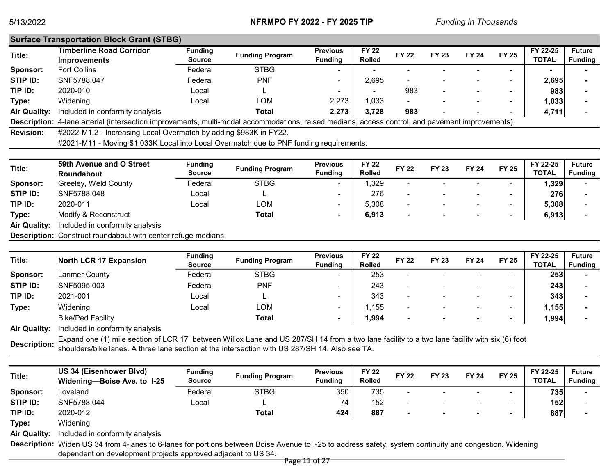| <b>Surface Transportation Block Grant (STBG)</b>       |                                 |                        |                                                                   |                               |                          |              |                          |              |                                                                                                                                                  |                                 |
|--------------------------------------------------------|---------------------------------|------------------------|-------------------------------------------------------------------|-------------------------------|--------------------------|--------------|--------------------------|--------------|--------------------------------------------------------------------------------------------------------------------------------------------------|---------------------------------|
| <b>Timberline Road Corridor</b><br><b>Improvements</b> | <b>Funding</b><br><b>Source</b> | <b>Funding Program</b> | <b>Previous</b><br><b>Funding</b>                                 | <b>FY 22</b><br><b>Rolled</b> | <b>FY 22</b>             | <b>FY 23</b> | <b>FY 24</b>             | <b>FY 25</b> | FY 22-25<br><b>TOTAL</b>                                                                                                                         | <b>Future</b><br><b>Funding</b> |
| <b>Fort Collins</b>                                    | Federal                         | <b>STBG</b>            |                                                                   |                               |                          |              |                          |              |                                                                                                                                                  |                                 |
| SNF5788.047                                            | Federal                         | <b>PNF</b>             | -                                                                 | 2.695                         | -                        |              |                          |              | 2,695                                                                                                                                            |                                 |
| 2020-010                                               | Local                           |                        |                                                                   | $\sim$                        | 983                      | -            | $\overline{\phantom{a}}$ |              | 983                                                                                                                                              |                                 |
| Widening                                               | Local                           | LOM                    | 2,273                                                             | 1.033                         | $\overline{\phantom{0}}$ |              |                          |              | 1,033                                                                                                                                            |                                 |
| Included in conformity analysis                        |                                 | Total                  | 2,273                                                             | 3,728                         | 983                      |              |                          |              | 4,711                                                                                                                                            |                                 |
|                                                        |                                 |                        |                                                                   |                               |                          |              |                          |              |                                                                                                                                                  |                                 |
|                                                        |                                 |                        |                                                                   |                               |                          |              |                          |              |                                                                                                                                                  |                                 |
|                                                        |                                 |                        | #2022-M1.2 - Increasing Local Overmatch by adding \$983K in FY22. |                               |                          |              |                          |              | Description: 4-lane arterial (intersection improvements, multi-modal accommodations, raised medians, access control, and pavement improvements). |                                 |

#2021-M11 - Moving \$1,033K Local into Local Overmatch due to PNF funding requirements.

| Title:              | 59th Avenue and O Street        | <b>Funding</b> | <b>Funding Program</b> | <b>Previous</b> | <b>FY 22</b>  | <b>FY 22</b> | <b>FY 23</b> | <b>FY 24</b>             |                          | FY 22-25     | <b>Future</b>  |
|---------------------|---------------------------------|----------------|------------------------|-----------------|---------------|--------------|--------------|--------------------------|--------------------------|--------------|----------------|
|                     | <b>Roundabout</b>               | <b>Source</b>  |                        | <b>Funding</b>  | <b>Rolled</b> |              |              |                          | <b>FY 25</b>             | <b>TOTAL</b> | <b>Funding</b> |
| Sponsor:            | Greeley, Weld County            | Federal        | <b>STBG</b>            |                 | ,329          | -            |              |                          | $\overline{\phantom{0}}$ | ا329،،       |                |
| STIP ID:            | SNF5788.048                     | Local          |                        |                 | 276           | -            |              | $\overline{\phantom{0}}$ | $\,$                     | 276          |                |
| TIP ID:             | 2020-011                        | _ocal          | LOM                    |                 | 5,308         | -            |              | ۰                        | $\overline{\phantom{0}}$ | 5,308        |                |
| Type:               | Modify & Reconstruct            |                | Total                  | $\blacksquare$  | 6,913         |              |              |                          | $\overline{\phantom{a}}$ | 6,913        |                |
| <b>Air Quality:</b> | Included in conformity analysis |                |                        |                 |               |              |              |                          |                          |              |                |

Description: Construct roundabout with center refuge medians.

| Title:              | <b>North LCR 17 Expansion</b>   | <b>Funding</b><br><b>Source</b> | <b>Funding Program</b> | <b>Previous</b><br><b>Funding</b> | <b>FY 22</b><br><b>Rolled</b> | <b>FY 22</b>             | <b>FY 23</b> | <b>FY 24</b> | <b>FY 25</b>             | FY 22-25<br><b>TOTAL</b> | <b>Future</b><br><b>Funding</b> |
|---------------------|---------------------------------|---------------------------------|------------------------|-----------------------------------|-------------------------------|--------------------------|--------------|--------------|--------------------------|--------------------------|---------------------------------|
| Sponsor:            | Larimer County                  | Federal                         | <b>STBG</b>            | $\sim$                            | 253                           | $\overline{\phantom{a}}$ |              |              | $\overline{\phantom{0}}$ | 253                      |                                 |
| STIP ID:            | SNF5095.003                     | Federal                         | <b>PNF</b>             | -                                 | 243                           | $\overline{\phantom{a}}$ |              |              | $\overline{\phantom{0}}$ | 243                      |                                 |
| TIP ID:             | 2021-001                        | Local                           |                        | $\sim$                            | 343                           | $\overline{\phantom{a}}$ |              |              | -                        | 343                      |                                 |
| Type:               | Widening                        | Local                           | LOM                    |                                   | ,155                          |                          |              |              | $\overline{\phantom{0}}$ | 1,155                    |                                 |
|                     | <b>Bike/Ped Facility</b>        |                                 | Total                  | $\sim$                            | 994,،                         |                          |              |              |                          | 1,994                    |                                 |
| <b>Air Quality:</b> | Included in conformity analysis |                                 |                        |                                   |                               |                          |              |              |                          |                          |                                 |

Description: Expand one (1) mile section of LCR 17 between Willox Lane and US 287/SH 14 from a two lane facility to a two lane facility with six (6) foot Description: about the interception with US 287/SH 144 Also see TA shoulders/bike lanes. A three lane section at the intersection with US 287/SH 14. Also see TA.

| Title:              | US 34 (Eisenhower Blvd)<br>Widening-Boise Ave. to 1-25 | <b>Funding</b><br><b>Source</b> | <b>Funding Program</b> | <b>Previous</b><br><b>Fundina</b> | <b>FY 22</b><br><b>Rolled</b> | <b>FY 22</b>             | <b>FY 23</b> | <b>FY 24</b> | <b>FY 25</b>             | FY 22-25<br><b>TOTAL</b> | <b>Future</b><br><b>Funding</b> |
|---------------------|--------------------------------------------------------|---------------------------------|------------------------|-----------------------------------|-------------------------------|--------------------------|--------------|--------------|--------------------------|--------------------------|---------------------------------|
| Sponsor:            | Loveland                                               | Federal                         | <b>STBG</b>            | 350                               | 735                           | $\overline{\phantom{0}}$ |              |              | $\overline{\phantom{a}}$ | 735                      |                                 |
| STIP ID:            | SNF5788.044                                            | Local                           |                        | 74                                | 152                           | ۰                        |              |              | $\,$                     | 152                      |                                 |
| TIP ID:             | 2020-012                                               |                                 | <b>Total</b>           | 424                               | 887                           | $\overline{\phantom{a}}$ |              |              |                          | 887                      |                                 |
| Type:               | Widening                                               |                                 |                        |                                   |                               |                          |              |              |                          |                          |                                 |
| <b>Air Quality:</b> | Included in conformity analysis                        |                                 |                        |                                   |                               |                          |              |              |                          |                          |                                 |
|                     |                                                        |                                 |                        |                                   |                               |                          |              |              |                          |                          |                                 |

Description: Widen US 34 from 4-lanes to 6-lanes for portions between Boise Avenue to I-25 to address safety, system continuity and congestion. Widening dependent on development projects approved adjacent to US 34.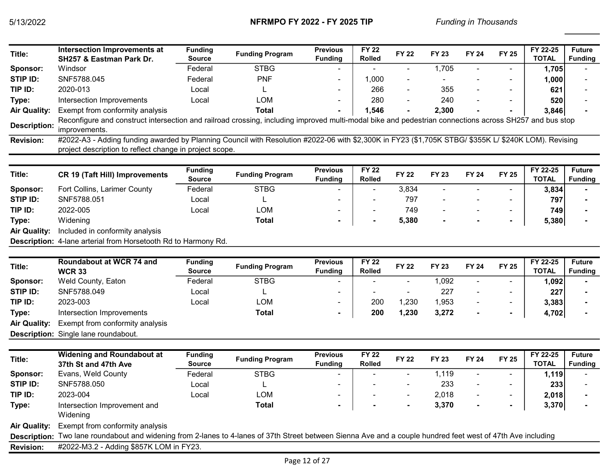| Title:              | <b>Intersection Improvements at</b><br>SH257 & Eastman Park Dr.                                                                                                                                                 | <b>Funding</b><br><b>Source</b> | <b>Funding Program</b> | <b>Previous</b><br><b>Funding</b> | <b>FY 22</b><br>Rolled        | <b>FY 22</b>         | <b>FY 23</b> | <b>FY 24</b>   | <b>FY 25</b>             | FY 22-25<br><b>TOTAL</b> | <b>Future</b><br><b>Funding</b> |
|---------------------|-----------------------------------------------------------------------------------------------------------------------------------------------------------------------------------------------------------------|---------------------------------|------------------------|-----------------------------------|-------------------------------|----------------------|--------------|----------------|--------------------------|--------------------------|---------------------------------|
| Sponsor:            | Windsor                                                                                                                                                                                                         | Federal                         | <b>STBG</b>            |                                   |                               | $\blacksquare$       | 1,705        | $\sim$         |                          | 1,705                    |                                 |
| STIP ID:            | SNF5788.045                                                                                                                                                                                                     | Federal                         | <b>PNF</b>             | $\overline{a}$                    | 1,000                         | $\blacksquare$       |              |                |                          | 1,000                    |                                 |
| TIP ID:             | 2020-013                                                                                                                                                                                                        | Local                           |                        | $\blacksquare$                    | 266                           | $\blacksquare$       | 355          |                | $\blacksquare$           | 621                      |                                 |
| Type:               | Intersection Improvements                                                                                                                                                                                       | Local                           | <b>LOM</b>             |                                   | 280                           | $\blacksquare$       | 240          |                |                          | 520                      |                                 |
| <b>Air Quality:</b> | Exempt from conformity analysis                                                                                                                                                                                 |                                 | <b>Total</b>           |                                   | 1,546                         | $\blacksquare$       | 2,300        |                |                          | 3,846                    |                                 |
| <b>Description:</b> | Reconfigure and construct intersection and railroad crossing, including improved multi-modal bike and pedestrian connections across SH257 and bus stop<br>improvements.                                         |                                 |                        |                                   |                               |                      |              |                |                          |                          |                                 |
| <b>Revision:</b>    | #2022-A3 - Adding funding awarded by Planning Council with Resolution #2022-06 with \$2,300K in FY23 (\$1,705K STBG/ \$355K L/ \$240K LOM). Revising<br>project description to reflect change in project scope. |                                 |                        |                                   |                               |                      |              |                |                          |                          |                                 |
| Title:              | <b>CR 19 (Taft Hill) Improvements</b>                                                                                                                                                                           | <b>Funding</b><br><b>Source</b> | <b>Funding Program</b> | <b>Previous</b><br><b>Funding</b> | <b>FY 22</b><br><b>Rolled</b> | <b>FY 22</b>         | <b>FY 23</b> | <b>FY 24</b>   | <b>FY 25</b>             | FY 22-25<br><b>TOTAL</b> | <b>Future</b><br><b>Funding</b> |
| Sponsor:            | Fort Collins, Larimer County                                                                                                                                                                                    | Federal                         | <b>STBG</b>            |                                   |                               | 3,834                |              |                |                          | 3,834                    |                                 |
| <b>STIP ID:</b>     | SNF5788.051                                                                                                                                                                                                     | Local                           |                        |                                   |                               | 797                  |              |                |                          | 797                      |                                 |
| TIP ID:             | 2022-005                                                                                                                                                                                                        | Local                           | <b>LOM</b>             |                                   |                               | 749                  |              |                | $\overline{a}$           | 749                      |                                 |
| Type:               | Widening                                                                                                                                                                                                        |                                 | <b>Total</b>           |                                   |                               | 5,380                |              |                | $\blacksquare$           | 5,380                    |                                 |
| <b>Air Quality:</b> | Included in conformity analysis                                                                                                                                                                                 |                                 |                        |                                   |                               |                      |              |                |                          |                          |                                 |
|                     | Description: 4-lane arterial from Horsetooth Rd to Harmony Rd.                                                                                                                                                  |                                 |                        |                                   |                               |                      |              |                |                          |                          |                                 |
|                     |                                                                                                                                                                                                                 |                                 |                        |                                   |                               |                      |              |                |                          |                          |                                 |
| Title:              | Roundabout at WCR 74 and<br><b>WCR 33</b>                                                                                                                                                                       | <b>Funding</b><br><b>Source</b> | <b>Funding Program</b> | <b>Previous</b><br><b>Funding</b> | <b>FY 22</b><br><b>Rolled</b> | <b>FY 22</b>         | <b>FY 23</b> | <b>FY 24</b>   | <b>FY 25</b>             | FY 22-25<br><b>TOTAL</b> | <b>Future</b><br><b>Funding</b> |
| Sponsor:            | Weld County, Eaton                                                                                                                                                                                              | Federal                         | <b>STBG</b>            | $\overline{a}$                    | $\overline{a}$                | $\blacksquare$       | 1,092        | $\overline{a}$ | $\overline{a}$           | 1,092                    |                                 |
| STIP ID:            | SNF5788.049                                                                                                                                                                                                     | Local                           |                        |                                   |                               | $\blacksquare$       | 227          |                | $\blacksquare$           | 227                      |                                 |
| TIP ID:             | 2023-003                                                                                                                                                                                                        | Local                           | <b>LOM</b>             |                                   | 200                           | 1,230                | 1,953        |                | $\overline{\phantom{a}}$ | 3,383                    |                                 |
| Type:               | Intersection Improvements                                                                                                                                                                                       |                                 | <b>Total</b>           |                                   | 200                           | 1,230                | 3,272        |                | $\blacksquare$           | 4,702                    |                                 |
| <b>Air Quality:</b> | Exempt from conformity analysis                                                                                                                                                                                 |                                 |                        |                                   |                               |                      |              |                |                          |                          |                                 |
|                     | Description: Single lane roundabout.                                                                                                                                                                            |                                 |                        |                                   |                               |                      |              |                |                          |                          |                                 |
|                     |                                                                                                                                                                                                                 |                                 |                        |                                   |                               |                      |              |                |                          |                          |                                 |
| Title:              | <b>Widening and Roundabout at</b><br>37th St and 47th Ave                                                                                                                                                       | <b>Funding</b><br><b>Source</b> | <b>Funding Program</b> | <b>Previous</b><br><b>Funding</b> | <b>FY 22</b><br><b>Rolled</b> | <b>FY 22</b>         | <b>FY 23</b> | <b>FY 24</b>   | <b>FY 25</b>             | FY 22-25<br><b>TOTAL</b> | <b>Future</b><br><b>Funding</b> |
| Sponsor:            | Evans, Weld County                                                                                                                                                                                              | Federal                         | <b>STBG</b>            | $\blacksquare$                    |                               | $\ddot{\phantom{1}}$ | 1,119        | $\sim$         | $\blacksquare$           | 1,119                    |                                 |
| <b>STIP ID:</b>     | SNF5788.050                                                                                                                                                                                                     | Local                           | L                      |                                   |                               |                      | 233          |                | $\overline{\phantom{a}}$ | 233                      |                                 |
| TIP ID:             | 2023-004                                                                                                                                                                                                        | Local                           | <b>LOM</b>             |                                   |                               |                      | 2,018        |                | $\blacksquare$           | 2,018                    |                                 |
| Type:               | Intersection Improvement and<br>Widening                                                                                                                                                                        |                                 | <b>Total</b>           |                                   |                               |                      | 3,370        |                | $\blacksquare$           | 3,370                    |                                 |
| Air Ouality: .      | Exempt from conformity analysis                                                                                                                                                                                 |                                 |                        |                                   |                               |                      |              |                |                          |                          |                                 |

Air Quality: Exempt from conformity analysis

Description: Two lane roundabout and widening from 2-lanes to 4-lanes of 37th Street between Sienna Ave and a couple hundred feet west of 47th Ave including

Revision: #2022-M3.2 - Adding \$857K LOM in FY23.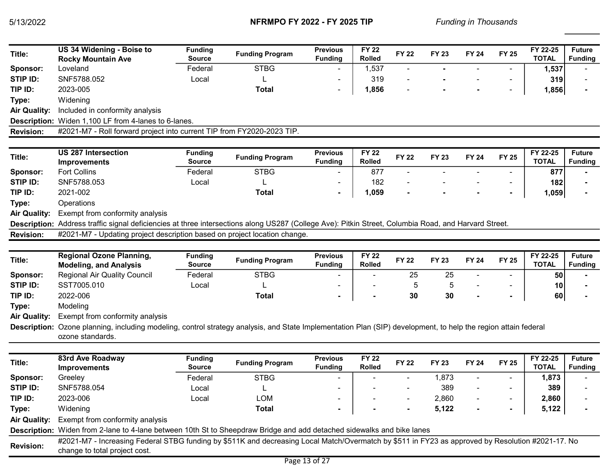| Title:              | US 34 Widening - Boise to                                                                                                                                                          | <b>Funding</b>                  | <b>Funding Program</b> | <b>Previous</b>                   | <b>FY 22</b>                  | <b>FY 22</b> | <b>FY 23</b> | <b>FY 24</b> | <b>FY 25</b>             | FY 22-25                 | <b>Future</b>                   |
|---------------------|------------------------------------------------------------------------------------------------------------------------------------------------------------------------------------|---------------------------------|------------------------|-----------------------------------|-------------------------------|--------------|--------------|--------------|--------------------------|--------------------------|---------------------------------|
|                     | <b>Rocky Mountain Ave</b>                                                                                                                                                          | <b>Source</b>                   |                        | <b>Funding</b>                    | <b>Rolled</b>                 |              |              |              |                          | <b>TOTAL</b>             | <b>Funding</b>                  |
| Sponsor:            | Loveland                                                                                                                                                                           | Federal                         | <b>STBG</b>            |                                   | 1,537                         |              |              |              |                          | 1,537                    |                                 |
| STIP ID:            | SNF5788.052                                                                                                                                                                        | Local                           |                        |                                   | 319                           |              |              |              |                          | 319                      |                                 |
| TIP ID:             | 2023-005                                                                                                                                                                           |                                 | <b>Total</b>           | ٠                                 | 1,856                         |              |              |              | $\overline{\phantom{a}}$ | 1,856                    |                                 |
| Type:               | Widening                                                                                                                                                                           |                                 |                        |                                   |                               |              |              |              |                          |                          |                                 |
| <b>Air Quality:</b> | Included in conformity analysis                                                                                                                                                    |                                 |                        |                                   |                               |              |              |              |                          |                          |                                 |
|                     | Description: Widen 1,100 LF from 4-lanes to 6-lanes.                                                                                                                               |                                 |                        |                                   |                               |              |              |              |                          |                          |                                 |
| <b>Revision:</b>    | #2021-M7 - Roll forward project into current TIP from FY2020-2023 TIP.                                                                                                             |                                 |                        |                                   |                               |              |              |              |                          |                          |                                 |
|                     |                                                                                                                                                                                    |                                 |                        |                                   |                               |              |              |              |                          |                          |                                 |
| Title:              | <b>US 287 Intersection</b>                                                                                                                                                         | <b>Funding</b>                  | <b>Funding Program</b> | <b>Previous</b>                   | <b>FY 22</b>                  | <b>FY 22</b> | <b>FY 23</b> | <b>FY 24</b> | <b>FY 25</b>             | FY 22-25                 | <b>Future</b>                   |
|                     | <b>Improvements</b>                                                                                                                                                                | <b>Source</b>                   |                        | <b>Funding</b>                    | <b>Rolled</b>                 |              |              |              |                          | <b>TOTAL</b>             | <b>Funding</b>                  |
| Sponsor:            | <b>Fort Collins</b>                                                                                                                                                                | Federal                         | <b>STBG</b>            |                                   | 877                           |              |              |              |                          | 877                      |                                 |
| STIP ID:            | SNF5788.053                                                                                                                                                                        | Local                           |                        |                                   | 182                           |              |              |              |                          | 182                      |                                 |
| TIP ID:             | 2021-002                                                                                                                                                                           |                                 | <b>Total</b>           | $\blacksquare$                    | 1,059                         |              |              |              | $\blacksquare$           | 1,059                    |                                 |
| Type:               | Operations                                                                                                                                                                         |                                 |                        |                                   |                               |              |              |              |                          |                          |                                 |
| <b>Air Quality:</b> | Exempt from conformity analysis                                                                                                                                                    |                                 |                        |                                   |                               |              |              |              |                          |                          |                                 |
|                     | Description: Address traffic signal deficiencies at three intersections along US287 (College Ave): Pitkin Street, Columbia Road, and Harvard Street.                               |                                 |                        |                                   |                               |              |              |              |                          |                          |                                 |
| <b>Revision:</b>    | #2021-M7 - Updating project description based on project location change.                                                                                                          |                                 |                        |                                   |                               |              |              |              |                          |                          |                                 |
|                     |                                                                                                                                                                                    |                                 |                        |                                   |                               |              |              |              |                          |                          |                                 |
| Title:              | <b>Regional Ozone Planning,</b><br><b>Modeling, and Analysis</b>                                                                                                                   | <b>Funding</b><br><b>Source</b> | <b>Funding Program</b> | <b>Previous</b><br><b>Funding</b> | <b>FY 22</b><br><b>Rolled</b> | <b>FY 22</b> | <b>FY 23</b> | <b>FY 24</b> | <b>FY 25</b>             | FY 22-25<br><b>TOTAL</b> | <b>Future</b><br><b>Funding</b> |
| Sponsor:            | <b>Regional Air Quality Council</b>                                                                                                                                                | Federal                         | <b>STBG</b>            |                                   |                               | 25           | 25           |              |                          | 50                       |                                 |
| STIP ID:            | SST7005.010                                                                                                                                                                        | Local                           |                        |                                   |                               | 5            | 5            |              |                          | 10                       |                                 |
| TIP ID:             | 2022-006                                                                                                                                                                           |                                 | <b>Total</b>           |                                   |                               | 30           | 30           |              | $\blacksquare$           | 60                       |                                 |
| Type:               | Modeling                                                                                                                                                                           |                                 |                        |                                   |                               |              |              |              |                          |                          |                                 |
| <b>Air Quality:</b> | Exempt from conformity analysis                                                                                                                                                    |                                 |                        |                                   |                               |              |              |              |                          |                          |                                 |
|                     | Description: Ozone planning, including modeling, control strategy analysis, and State Implementation Plan (SIP) development, to help the region attain federal<br>ozone standards. |                                 |                        |                                   |                               |              |              |              |                          |                          |                                 |
|                     | 83rd Ave Roadway                                                                                                                                                                   | <b>Funding</b>                  |                        | <b>Previous</b>                   | <b>FY 22</b>                  |              |              |              |                          | FY 22-25                 | <b>Future</b>                   |
| Title:              | <b>Improvements</b>                                                                                                                                                                | <b>Source</b>                   | <b>Funding Program</b> | <b>Funding</b>                    | <b>Rolled</b>                 | <b>FY 22</b> | <b>FY 23</b> | <b>FY 24</b> | <b>FY 25</b>             | <b>TOTAL</b>             | <b>Funding</b>                  |
| Sponsor:            | Greeley                                                                                                                                                                            | Federal                         | <b>STBG</b>            |                                   |                               |              | 1,873        |              |                          | 1,873                    |                                 |
| STIP ID:            | SNF5788.054                                                                                                                                                                        | Local                           |                        |                                   |                               |              | 389          |              |                          | 389                      |                                 |
| TIP ID:             | 2023-006                                                                                                                                                                           | Local                           | <b>LOM</b>             |                                   |                               |              | 2,860        |              |                          | 2,860                    |                                 |
| Type:               | Widening                                                                                                                                                                           |                                 | <b>Total</b>           |                                   |                               |              | 5,122        |              |                          | 5,122                    |                                 |
| <b>Air Quality:</b> | Exempt from conformity analysis                                                                                                                                                    |                                 |                        |                                   |                               |              |              |              |                          |                          |                                 |
|                     | Description: Widen from 2-lane to 4-lane between 10th St to Sheepdraw Bridge and add detached sidewalks and bike lanes                                                             |                                 |                        |                                   |                               |              |              |              |                          |                          |                                 |
| <b>Revision:</b>    | #2021-M7 - Increasing Federal STBG funding by \$511K and decreasing Local Match/Overmatch by \$511 in FY23 as approved by Resolution #2021-17. No<br>change to total project cost. |                                 |                        |                                   |                               |              |              |              |                          |                          |                                 |
|                     |                                                                                                                                                                                    |                                 |                        | Page 13 of 27                     |                               |              |              |              |                          |                          |                                 |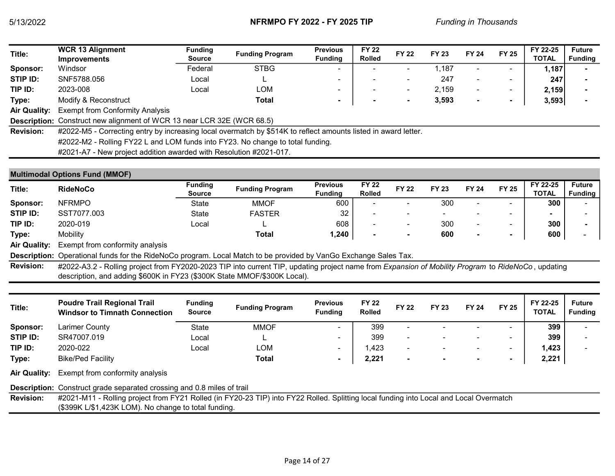| Title:              | <b>WCR 13 Alignment</b><br><b>Improvements</b>                                                                 | <b>Funding</b><br>Source | <b>Funding Program</b> | <b>Previous</b><br><b>Funding</b> | <b>FY 22</b><br><b>Rolled</b> | <b>FY 22</b>             | <b>FY 23</b> | <b>FY 24</b>             | <b>FY 25</b>             | FY 22-25<br><b>TOTAL</b> | <b>Future</b><br>Funding |
|---------------------|----------------------------------------------------------------------------------------------------------------|--------------------------|------------------------|-----------------------------------|-------------------------------|--------------------------|--------------|--------------------------|--------------------------|--------------------------|--------------------------|
| <b>Sponsor:</b>     | Windsor                                                                                                        | Federal                  | <b>STBG</b>            |                                   |                               |                          | 1.187        |                          | $\overline{\phantom{0}}$ | 1,187                    |                          |
| STIP ID:            | SNF5788.056                                                                                                    | Local                    |                        | -                                 |                               | $\overline{\phantom{a}}$ | 247          | $\overline{\phantom{0}}$ | -                        | 247                      |                          |
| TIP ID:             | 2023-008                                                                                                       | Local                    | LOM                    | -                                 |                               | $\overline{\phantom{a}}$ | 2,159        | $\overline{\phantom{a}}$ | $\overline{\phantom{a}}$ | 2,159                    |                          |
| Type:               | Modify & Reconstruct                                                                                           |                          | Total                  |                                   |                               | $\blacksquare$           | 3,593        | $\blacksquare$           | $\blacksquare$           | 3,593                    |                          |
| <b>Air Quality:</b> | <b>Exempt from Conformity Analysis</b>                                                                         |                          |                        |                                   |                               |                          |              |                          |                          |                          |                          |
|                     | <b>Description:</b> Construct new alignment of WCR 13 near LCR 32E (WCR 68.5)                                  |                          |                        |                                   |                               |                          |              |                          |                          |                          |                          |
| <b>Revision:</b>    | #2022-M5 - Correcting entry by increasing local overmatch by \$514K to reflect amounts listed in award letter. |                          |                        |                                   |                               |                          |              |                          |                          |                          |                          |
|                     | #2022-M2 - Rolling FY22 L and LOM funds into FY23. No change to total funding.                                 |                          |                        |                                   |                               |                          |              |                          |                          |                          |                          |
|                     | #2021-A7 - New project addition awarded with Resolution #2021-017.                                             |                          |                        |                                   |                               |                          |              |                          |                          |                          |                          |
|                     |                                                                                                                |                          |                        |                                   |                               |                          |              |                          |                          |                          |                          |

#### Multimodal Options Fund (MMOF)

| Title:              | <b>RideNoCo</b>                 | <b>Funding</b> | <b>Funding Program</b> | <b>Previous</b> | <b>FY 22</b>   |              | <b>FY 23</b> | <b>FY 24</b>             | <b>FY 25</b>             | FY 22-25     | <b>Future</b>  |
|---------------------|---------------------------------|----------------|------------------------|-----------------|----------------|--------------|--------------|--------------------------|--------------------------|--------------|----------------|
|                     |                                 | <b>Source</b>  |                        | Fundina         | <b>Rolled</b>  | <b>FY 22</b> |              |                          |                          | <b>TOTAL</b> | <b>Funding</b> |
| Sponsor:            | <b>NFRMPO</b>                   | <b>State</b>   | <b>MMOF</b>            | 600             |                | -            | 300          |                          | -                        | 300          |                |
| STIP ID:            | SST7077.003                     | State          | <b>FASTER</b>          | 32              |                | -            | $\sim$       | $\overline{\phantom{0}}$ | $\overline{\phantom{0}}$ |              |                |
| TIP ID:             | 2020-019                        | Local          |                        | 608             |                | -            | 300          |                          | $\overline{\phantom{0}}$ | 300          |                |
| Type:               | Mobility                        |                | Total                  | 1,240           | $\blacksquare$ | $\sim$       | 600          |                          |                          | 600          |                |
| <b>Air Quality:</b> | Exempt from conformity analysis |                |                        |                 |                |              |              |                          |                          |              |                |

Description: Operational funds for the RideNoCo program. Local Match to be provided by VanGo Exchange Sales Tax.

Revision: #2022-A3.2 - Rolling project from FY2020-2023 TIP into current TIP, updating project name from Expansion of Mobility Program to RideNoCo, updating description, and adding \$600K in FY23 (\$300K State MMOF/\$300K Local).

| Title:   | <b>Poudre Trail Regional Trail</b><br><b>Windsor to Timnath Connection</b> | <b>Funding</b><br><b>Source</b> | <b>Funding Program</b> | <b>Previous</b><br><b>Funding</b> | <b>FY 22</b><br><b>Rolled</b> | <b>FY 22</b>             | <b>FY 23</b> | <b>FY 24</b> | <b>FY 25</b>             | FY 22-25<br><b>TOTAL</b> | <b>Future</b><br><b>Funding</b> |
|----------|----------------------------------------------------------------------------|---------------------------------|------------------------|-----------------------------------|-------------------------------|--------------------------|--------------|--------------|--------------------------|--------------------------|---------------------------------|
| Sponsor: | Larimer County                                                             | <b>State</b>                    | <b>MMOF</b>            | $\overline{\phantom{a}}$          | 399                           | $\sim$                   |              |              | ۰                        | 399                      | $\sim$                          |
| STIP ID: | SR47007.019                                                                | Local                           |                        | $\overline{\phantom{a}}$          | 399                           | $\sim$                   |              | $\sim$       | $\overline{\phantom{a}}$ | 399                      |                                 |
| TIP ID:  | 2020-022                                                                   | Local                           | LOM                    | $\overline{\phantom{a}}$          | I,423                         | $\overline{\phantom{a}}$ |              | $\sim$       | $\overline{\phantom{a}}$ | 1,423                    |                                 |
| Type:    | <b>Bike/Ped Facility</b>                                                   |                                 | <b>Total</b>           |                                   | 2,221                         | $\overline{\phantom{0}}$ |              | $\sim$       | $\overline{\phantom{a}}$ | 2,221                    |                                 |

Air Quality: Exempt from conformity analysis

Description: Construct grade separated crossing and 0.8 miles of trail

Revision: #2021-M11 - Rolling project from FY21 Rolled (in FY20-23 TIP) into FY22 Rolled. Splitting local funding into Local and Local Overmatch (\$399K L/\$1,423K LOM). No change to total funding.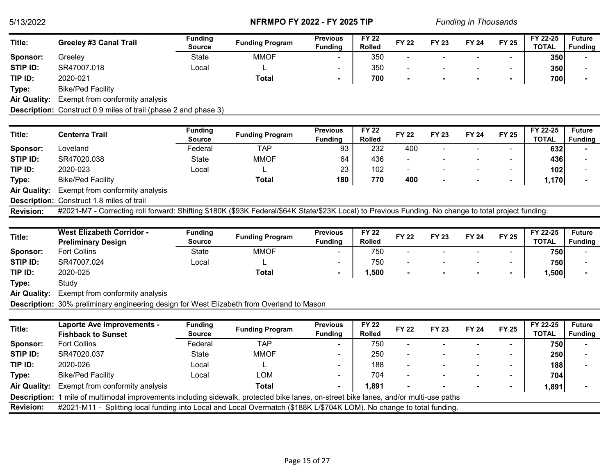| Title:   | <b>Greeley #3 Canal Trail</b> | Funding | <b>Funding Program</b> | <b>Previous</b>          | <b>FY 22</b>  |              | <b>FY 23</b> | <b>FY 24</b>             |                          | FY 22-25     | <b>Future</b>  |
|----------|-------------------------------|---------|------------------------|--------------------------|---------------|--------------|--------------|--------------------------|--------------------------|--------------|----------------|
|          |                               | Source  |                        | <b>Funding</b>           | <b>Rolled</b> | <b>FY 22</b> |              |                          | <b>FY 25</b>             | <b>TOTAL</b> | <b>Funding</b> |
| Sponsor: | Greelev                       | State   | <b>MMOF</b>            | $\overline{\phantom{0}}$ | 350           |              |              | $\sim$                   | $\overline{\phantom{a}}$ | 350          |                |
| STIP ID: | SR47007.018                   | Local   |                        |                          | 350           | -            |              | $\overline{\phantom{a}}$ |                          | 350          |                |
| TIP ID:  | 2020-021                      |         | <b>Total</b>           |                          | 700           |              |              | $\sim$                   |                          | 700          |                |
| Type:    | <b>Bike/Ped Facility</b>      |         |                        |                          |               |              |              |                          |                          |              |                |

Air Quality: Exempt from conformity analysis

Description: Construct 0.9 miles of trail (phase 2 and phase 3)

| Title:              | <b>Centerra Trail</b>                            | <b>Funding</b> | <b>Funding Program</b> | <b>Previous</b> | <b>FY 22</b>  | <b>FY 22</b> | <b>FY 23</b> | <b>FY 24</b>             | <b>FY 25</b>             | FY 22-25 | <b>Future</b>  |
|---------------------|--------------------------------------------------|----------------|------------------------|-----------------|---------------|--------------|--------------|--------------------------|--------------------------|----------|----------------|
|                     |                                                  | <b>Source</b>  |                        | Fundina         | <b>Rolled</b> |              |              |                          |                          | TOTAL    | <b>Funding</b> |
| Sponsor:            | Loveland                                         | Federal        | TAP                    | 93              | 232           | 400          |              | $\sim$                   | $\overline{\phantom{0}}$ | 632      |                |
| STIP ID:            | SR47020.038                                      | State          | <b>MMOF</b>            | 64              | 436           |              |              | $\overline{\phantom{a}}$ | $\overline{\phantom{0}}$ | 436      |                |
| TIP ID:             | 2020-023                                         | Local          |                        | 23              | 102           |              |              | $\overline{\phantom{a}}$ | $\,$                     | 102      |                |
| Type:               | <b>Bike/Ped Facility</b>                         |                | Total                  | 180             | 770           | 400          |              |                          | $\blacksquare$           | 1,170    |                |
| <b>Air Quality:</b> | Exempt from conformity analysis                  |                |                        |                 |               |              |              |                          |                          |          |                |
|                     | <b>Description:</b> Construct 1.8 miles of trail |                |                        |                 |               |              |              |                          |                          |          |                |

Revision: #2021-M7 - Correcting roll forward: Shifting \$180K (\$93K Federal/\$64K State/\$23K Local) to Previous Funding. No change to total project funding.

| Title:          | <b>West Elizabeth Corridor -</b><br><b>Preliminary Design</b> | Funding<br><b>Source</b> | <b>Funding Program</b> | <b>Previous</b><br><b>Funding</b> | <b>FY 22</b><br><b>Rolled</b> | <b>FY 22</b> | <b>FY 23</b>             | <b>FY 24</b> | <b>FY 25</b>             | FY 22-25<br><b>TOTAL</b> | <b>Future</b><br><b>Funding</b> |
|-----------------|---------------------------------------------------------------|--------------------------|------------------------|-----------------------------------|-------------------------------|--------------|--------------------------|--------------|--------------------------|--------------------------|---------------------------------|
| Sponsor:        | <b>Fort Collins</b>                                           | State                    | <b>MMOF</b>            | $\overline{\phantom{a}}$          | 750                           | ۰            |                          | $\sim$       | $\overline{\phantom{a}}$ | 750                      |                                 |
| <b>STIP ID:</b> | SR47007.024                                                   | Local                    | <u>_</u>               | -                                 | 750                           | ۰            |                          | -            | -                        | 750                      |                                 |
| TIP ID:         | 2020-025                                                      |                          | <b>Total</b>           |                                   | 500،،                         | $\sim$       | $\overline{\phantom{a}}$ |              |                          | ,500                     |                                 |
| Type:           | Study                                                         |                          |                        |                                   |                               |              |                          |              |                          |                          |                                 |

Air Quality: Exempt from conformity analysis

Description: 30% preliminary engineering design for West Elizabeth from Overland to Mason

| Title:              | <b>Laporte Ave Improvements -</b><br><b>Fishback to Sunset</b>                                                         | <b>Funding</b><br><b>Source</b> | <b>Funding Program</b> | <b>Previous</b><br><b>Funding</b> | <b>FY 22</b><br><b>Rolled</b> | <b>FY 22</b>             | <b>FY 23</b> | <b>FY 24</b> | <b>FY 25</b>             | FY 22-25<br><b>TOTAL</b> | <b>Future</b><br><b>Funding</b> |
|---------------------|------------------------------------------------------------------------------------------------------------------------|---------------------------------|------------------------|-----------------------------------|-------------------------------|--------------------------|--------------|--------------|--------------------------|--------------------------|---------------------------------|
| Sponsor:            | <b>Fort Collins</b>                                                                                                    | Federal                         | TAP                    |                                   | 750                           | $\overline{\phantom{0}}$ |              |              | $\overline{\phantom{0}}$ | 750 I                    |                                 |
| STIP ID:            | SR47020.037                                                                                                            | State                           | <b>MMOF</b>            |                                   | 250                           | $\overline{\phantom{a}}$ |              |              | $\overline{\phantom{0}}$ | 250                      |                                 |
| TIP ID:             | 2020-026                                                                                                               | Local                           |                        |                                   | 188                           | $\overline{\phantom{0}}$ |              |              |                          | 188                      |                                 |
| Type:               | <b>Bike/Ped Facility</b>                                                                                               | Local                           | LOM                    | -                                 | 704                           |                          |              |              |                          | 704                      |                                 |
| <b>Air Quality:</b> | Exempt from conformity analysis                                                                                        |                                 | Total                  | $\sim$                            | 1,891                         |                          |              |              |                          | 1,891                    |                                 |
| <b>Description:</b> | mile of multimodal improvements including sidewalk, protected bike lanes, on-street bike lanes, and/or multi-use paths |                                 |                        |                                   |                               |                          |              |              |                          |                          |                                 |
| <b>Revision:</b>    | #2021-M11 - Splitting local funding into Local and Local Overmatch (\$188K L/\$704K LOM). No change to total funding.  |                                 |                        |                                   |                               |                          |              |              |                          |                          |                                 |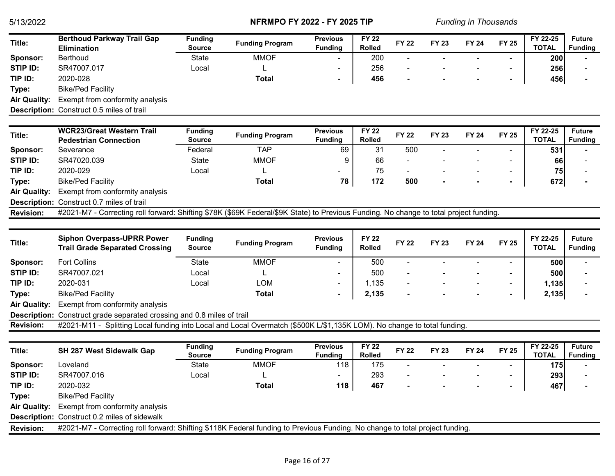| Title:                       | <b>Berthoud Parkway Trail Gap</b>                                                                                                      | <b>Funding</b>                  | <b>Funding Program</b> | <b>Previous</b>                   | <b>FY 22</b>                  | <b>FY 22</b> | <b>FY 23</b> | <b>FY 24</b> | <b>FY 25</b>   | FY 22-25                 | <b>Future</b>                   |
|------------------------------|----------------------------------------------------------------------------------------------------------------------------------------|---------------------------------|------------------------|-----------------------------------|-------------------------------|--------------|--------------|--------------|----------------|--------------------------|---------------------------------|
|                              | <b>Elimination</b>                                                                                                                     | <b>Source</b>                   |                        | <b>Funding</b>                    | <b>Rolled</b>                 |              |              |              |                | <b>TOTAL</b>             | <b>Funding</b>                  |
| Sponsor:                     | <b>Berthoud</b>                                                                                                                        | <b>State</b>                    | <b>MMOF</b>            |                                   | 200                           | ÷,           |              |              |                | 200                      |                                 |
| STIP ID:                     | SR47007.017                                                                                                                            | Local                           | L                      |                                   | 256                           |              |              |              |                | 256                      |                                 |
| TIP ID:                      | 2020-028                                                                                                                               |                                 | <b>Total</b>           | $\blacksquare$                    | 456                           |              |              |              | $\blacksquare$ | 456                      |                                 |
| Type:                        | <b>Bike/Ped Facility</b>                                                                                                               |                                 |                        |                                   |                               |              |              |              |                |                          |                                 |
| <b>Air Quality:</b>          | Exempt from conformity analysis                                                                                                        |                                 |                        |                                   |                               |              |              |              |                |                          |                                 |
|                              | Description: Construct 0.5 miles of trail                                                                                              |                                 |                        |                                   |                               |              |              |              |                |                          |                                 |
|                              |                                                                                                                                        |                                 |                        |                                   |                               |              |              |              |                |                          |                                 |
| Title:                       | <b>WCR23/Great Western Trail</b><br><b>Pedestrian Connection</b>                                                                       | <b>Funding</b><br><b>Source</b> | <b>Funding Program</b> | <b>Previous</b><br><b>Funding</b> | <b>FY 22</b><br><b>Rolled</b> | <b>FY 22</b> | <b>FY 23</b> | <b>FY 24</b> | <b>FY 25</b>   | FY 22-25<br><b>TOTAL</b> | <b>Future</b><br><b>Funding</b> |
| Sponsor:                     | Severance                                                                                                                              | Federal                         | <b>TAP</b>             | 69                                | 31                            | 500          |              |              | $\overline{a}$ | 531                      |                                 |
| STIP ID:                     | SR47020.039                                                                                                                            | <b>State</b>                    | <b>MMOF</b>            | 9                                 | 66                            |              |              |              |                | 66                       |                                 |
| TIP ID:                      | 2020-029                                                                                                                               | Local                           |                        |                                   | 75                            | $\sim$       |              |              | $\blacksquare$ | 75                       |                                 |
| Type:                        | <b>Bike/Ped Facility</b>                                                                                                               |                                 | <b>Total</b>           | 78                                | 172                           | 500          |              |              | $\blacksquare$ | 672                      |                                 |
| <b>Air Quality:</b>          | Exempt from conformity analysis                                                                                                        |                                 |                        |                                   |                               |              |              |              |                |                          |                                 |
|                              | Description: Construct 0.7 miles of trail                                                                                              |                                 |                        |                                   |                               |              |              |              |                |                          |                                 |
| <b>Revision:</b>             | #2021-M7 - Correcting roll forward: Shifting \$78K (\$69K Federal/\$9K State) to Previous Funding. No change to total project funding. |                                 |                        |                                   |                               |              |              |              |                |                          |                                 |
|                              |                                                                                                                                        |                                 |                        |                                   |                               |              |              |              |                |                          |                                 |
|                              |                                                                                                                                        |                                 |                        |                                   |                               |              |              |              |                |                          |                                 |
| Title:                       | <b>Siphon Overpass-UPRR Power</b><br><b>Trail Grade Separated Crossing</b>                                                             | <b>Funding</b><br><b>Source</b> | <b>Funding Program</b> | <b>Previous</b><br><b>Funding</b> | <b>FY 22</b><br>Rolled        | <b>FY 22</b> | <b>FY 23</b> | <b>FY 24</b> | <b>FY 25</b>   | FY 22-25<br><b>TOTAL</b> | <b>Future</b><br><b>Funding</b> |
|                              |                                                                                                                                        |                                 |                        |                                   |                               |              |              |              |                |                          |                                 |
| Sponsor:                     | <b>Fort Collins</b>                                                                                                                    | State                           | <b>MMOF</b>            |                                   | 500                           |              |              |              |                | 500                      |                                 |
| <b>STIP ID:</b>              | SR47007.021                                                                                                                            | Local                           |                        |                                   | 500                           |              |              |              | $\blacksquare$ | 500                      |                                 |
| TIP ID:                      | 2020-031                                                                                                                               | Local                           | <b>LOM</b>             |                                   | 1,135                         |              |              |              | $\blacksquare$ | 1,135                    |                                 |
| Type:                        | <b>Bike/Ped Facility</b>                                                                                                               |                                 | <b>Total</b>           |                                   | 2,135                         |              |              |              |                | 2,135                    |                                 |
| <b>Air Quality:</b>          | Exempt from conformity analysis                                                                                                        |                                 |                        |                                   |                               |              |              |              |                |                          |                                 |
|                              | Description: Construct grade separated crossing and 0.8 miles of trail                                                                 |                                 |                        |                                   |                               |              |              |              |                |                          |                                 |
| <b>Revision:</b>             | #2021-M11 - Splitting Local funding into Local and Local Overmatch (\$500K L/\$1,135K LOM). No change to total funding.                |                                 |                        |                                   |                               |              |              |              |                |                          |                                 |
| Title:                       | SH 287 West Sidewalk Gap                                                                                                               | <b>Funding</b><br><b>Source</b> | <b>Funding Program</b> | <b>Previous</b><br><b>Funding</b> | <b>FY 22</b><br><b>Rolled</b> | <b>FY 22</b> | <b>FY 23</b> | <b>FY 24</b> | <b>FY 25</b>   | FY 22-25<br><b>TOTAL</b> | <b>Future</b><br><b>Funding</b> |
| Sponsor:                     | Loveland                                                                                                                               | State                           | <b>MMOF</b>            | 118                               | 175                           |              |              |              |                | 175                      |                                 |
| STIP ID:                     | SR47007.016                                                                                                                            | Local                           |                        |                                   | 293                           |              |              |              |                | 293                      |                                 |
| TIP ID:                      | 2020-032                                                                                                                               |                                 | <b>Total</b>           | 118                               | 467                           |              |              |              |                | 467                      |                                 |
|                              | <b>Bike/Ped Facility</b>                                                                                                               |                                 |                        |                                   |                               |              |              |              |                |                          |                                 |
| Type:<br><b>Air Quality:</b> |                                                                                                                                        |                                 |                        |                                   |                               |              |              |              |                |                          |                                 |
|                              | Exempt from conformity analysis<br>Description: Construct 0.2 miles of sidewalk                                                        |                                 |                        |                                   |                               |              |              |              |                |                          |                                 |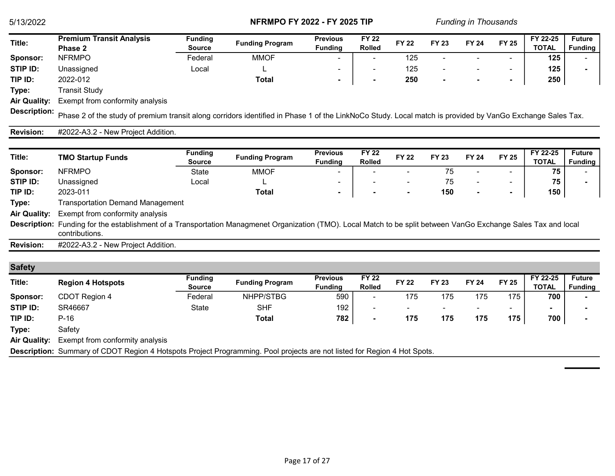| Title:   | <b>Premium Transit Analysis</b> | Funding       |                        | <b>Previous</b> | <b>FY 22</b>  | <b>FY 22</b> | <b>FY 23</b> | <b>FY 24</b> |       | FY 22-25     | <b>Future</b>  |
|----------|---------------------------------|---------------|------------------------|-----------------|---------------|--------------|--------------|--------------|-------|--------------|----------------|
|          | Phase 2                         | <b>Source</b> | <b>Funding Program</b> | <b>Funding</b>  | <b>Rolled</b> |              |              |              | FY 25 | <b>TOTAL</b> | <b>Funding</b> |
| Sponsor: | <b>NFRMPO</b>                   | Federal       | MMOF                   | -               |               | 125          |              |              | -     | 125          |                |
| STIP ID: | Unassigned                      | Local         |                        |                 |               | 125          |              |              | -     | 125          |                |
| TIP ID:  | 2022-012                        |               | Total                  |                 |               | 250          |              |              | . .   | 250          |                |
|          | .                               |               |                        |                 |               |              |              |              |       |              |                |

Type: Transit Study

Air Quality: Exempt from conformity analysis

Description: Phase 2 of the study of premium transit along corridors identified in Phase 1 of the LinkNoCo Study. Local match is provided by VanGo Exchange Sales Tax.

#### Revision: #2022-A3.2 - New Project Addition.

| Title:              | <b>TMO Startup Funds</b>                                                                                                                                                           | <b>Funding</b><br><b>Source</b> | <b>Funding Program</b> | <b>Previous</b><br><b>Funding</b> | <b>FY 22</b><br><b>Rolled</b> | <b>FY 22</b>             | <b>FY 23</b> | <b>FY 24</b>             | <b>FY 25</b>             | FY 22-25<br><b>TOTAL</b> | <b>Future</b><br><b>Funding</b> |
|---------------------|------------------------------------------------------------------------------------------------------------------------------------------------------------------------------------|---------------------------------|------------------------|-----------------------------------|-------------------------------|--------------------------|--------------|--------------------------|--------------------------|--------------------------|---------------------------------|
| Sponsor:            | <b>NFRMPO</b>                                                                                                                                                                      | State                           | <b>MMOF</b>            | - 1                               |                               | -                        | 75           | $\overline{\phantom{0}}$ | $\overline{\phantom{0}}$ | 75                       |                                 |
| STIP ID:            | Unassigned                                                                                                                                                                         | Local                           | ►                      | $\overline{\phantom{a}}$          |                               | $\overline{\phantom{a}}$ | 75           | $\overline{\phantom{a}}$ | $\overline{\phantom{0}}$ | 75                       |                                 |
| TIP ID:             | 2023-011                                                                                                                                                                           |                                 | Total                  |                                   |                               |                          | 150          |                          | $\blacksquare$           | 150                      |                                 |
| Type:               | Transportation Demand Management                                                                                                                                                   |                                 |                        |                                   |                               |                          |              |                          |                          |                          |                                 |
| <b>Air Quality:</b> | Exempt from conformity analysis                                                                                                                                                    |                                 |                        |                                   |                               |                          |              |                          |                          |                          |                                 |
|                     | Description: Funding for the establishment of a Transportation Managmenet Organization (TMO). Local Match to be split between VanGo Exchange Sales Tax and local<br>contributions. |                                 |                        |                                   |                               |                          |              |                          |                          |                          |                                 |
| <b>Revision:</b>    | #2022-A3.2 - New Project Addition.                                                                                                                                                 |                                 |                        |                                   |                               |                          |              |                          |                          |                          |                                 |

#### **Safety**

| <b>VAIVLY</b>       |                                                                                                                          |                                 |                        |                                   |                               |                          |              |                          |              |                          |                                 |
|---------------------|--------------------------------------------------------------------------------------------------------------------------|---------------------------------|------------------------|-----------------------------------|-------------------------------|--------------------------|--------------|--------------------------|--------------|--------------------------|---------------------------------|
| Title:              | <b>Region 4 Hotspots</b>                                                                                                 | <b>Funding</b><br><b>Source</b> | <b>Funding Program</b> | <b>Previous</b><br><b>Funding</b> | <b>FY 22</b><br><b>Rolled</b> | <b>FY 22</b>             | <b>FY 23</b> | <b>FY 24</b>             | <b>FY 25</b> | FY 22-25<br><b>TOTAL</b> | <b>Future</b><br><b>Funding</b> |
| Sponsor:            | CDOT Region 4                                                                                                            | Federal                         | NHPP/STBG              | 590                               | -                             | 175                      | 175          | 175                      | 175          | 700                      |                                 |
| STIP ID:            | SR46667                                                                                                                  | State                           | <b>SHF</b>             | 192                               |                               | $\overline{\phantom{a}}$ |              | $\overline{\phantom{a}}$ |              | $\overline{\phantom{a}}$ |                                 |
| TIP ID:             | $P-16$                                                                                                                   |                                 | Total                  | 782                               | $\overline{\phantom{a}}$      | 175                      | 175          | 175                      | 175          | 700                      |                                 |
| Type:               | Safety                                                                                                                   |                                 |                        |                                   |                               |                          |              |                          |              |                          |                                 |
| <b>Air Quality:</b> | Exempt from conformity analysis                                                                                          |                                 |                        |                                   |                               |                          |              |                          |              |                          |                                 |
|                     | Description: Summary of CDOT Region 4 Hotspots Project Programming. Pool projects are not listed for Region 4 Hot Spots. |                                 |                        |                                   |                               |                          |              |                          |              |                          |                                 |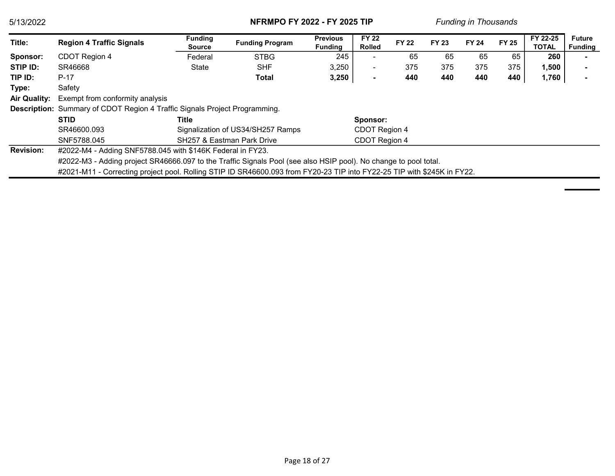| 5/13/2022           |                                                                                                                         | <b>NFRMPO FY 2022 - FY 2025 TIP</b>                        |                                   |                                   |                               | <b>Funding in Thousands</b> |              |              |              |                          |                          |
|---------------------|-------------------------------------------------------------------------------------------------------------------------|------------------------------------------------------------|-----------------------------------|-----------------------------------|-------------------------------|-----------------------------|--------------|--------------|--------------|--------------------------|--------------------------|
| Title:              | <b>Region 4 Traffic Signals</b>                                                                                         | <b>Funding</b><br>Source                                   | <b>Funding Program</b>            | <b>Previous</b><br><b>Funding</b> | <b>FY 22</b><br><b>Rolled</b> | <b>FY 22</b>                | <b>FY 23</b> | <b>FY 24</b> | <b>FY 25</b> | FY 22-25<br><b>TOTAL</b> | <b>Future</b><br>Funding |
| Sponsor:            | CDOT Region 4                                                                                                           | Federal                                                    | <b>STBG</b>                       | 245                               | $\overline{\phantom{0}}$      | 65                          | 65           | 65           | 65           | 260                      |                          |
| STIP ID:            | SR46668                                                                                                                 | State                                                      | <b>SHF</b>                        | 3,250                             | ۰                             | 375                         | 375          | 375          | 375          | 1,500                    |                          |
| TIP ID:             | $P-17$                                                                                                                  |                                                            | Total                             | 3,250                             | $\blacksquare$                | 440                         | 440          | 440          | 440          | 1,760                    |                          |
| Type:               | Safety                                                                                                                  |                                                            |                                   |                                   |                               |                             |              |              |              |                          |                          |
| <b>Air Quality:</b> | Exempt from conformity analysis                                                                                         |                                                            |                                   |                                   |                               |                             |              |              |              |                          |                          |
|                     | <b>Description:</b> Summary of CDOT Region 4 Traffic Signals Project Programming.                                       |                                                            |                                   |                                   |                               |                             |              |              |              |                          |                          |
|                     | <b>STID</b>                                                                                                             | Title                                                      |                                   |                                   | Sponsor:                      |                             |              |              |              |                          |                          |
|                     | SR46600.093                                                                                                             |                                                            | Signalization of US34/SH257 Ramps |                                   | CDOT Region 4                 |                             |              |              |              |                          |                          |
|                     | SNF5788.045                                                                                                             |                                                            | SH257 & Eastman Park Drive        |                                   | CDOT Region 4                 |                             |              |              |              |                          |                          |
| <b>Revision:</b>    |                                                                                                                         | #2022-M4 - Adding SNF5788.045 with \$146K Federal in FY23. |                                   |                                   |                               |                             |              |              |              |                          |                          |
|                     | #2022-M3 - Adding project SR46666.097 to the Traffic Signals Pool (see also HSIP pool). No change to pool total.        |                                                            |                                   |                                   |                               |                             |              |              |              |                          |                          |
|                     | #2021-M11 - Correcting project pool. Rolling STIP ID SR46600.093 from FY20-23 TIP into FY22-25 TIP with \$245K in FY22. |                                                            |                                   |                                   |                               |                             |              |              |              |                          |                          |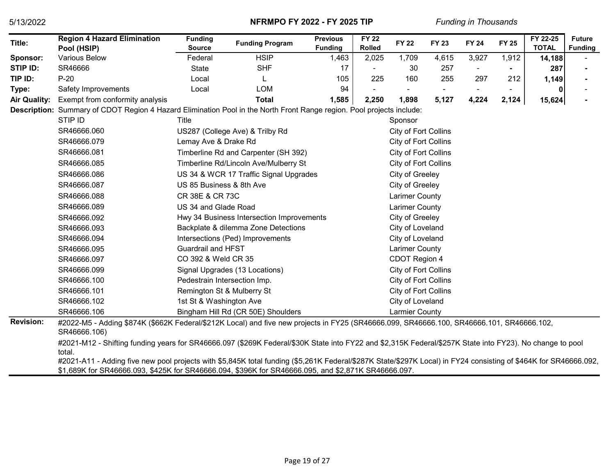| Title:                      | <b>Region 4 Hazard Elimination</b>                                                                                                                                                                                                                                                                                                                                                                                                            | <b>Funding</b>               | <b>Funding Program</b>                    | <b>Previous</b>         | <b>FY 22</b>           | <b>FY 22</b>          | <b>FY 23</b> | <b>FY 24</b>   | <b>FY 25</b> | $\overline{FY}$ 22-25 | <b>Future</b>  |
|-----------------------------|-----------------------------------------------------------------------------------------------------------------------------------------------------------------------------------------------------------------------------------------------------------------------------------------------------------------------------------------------------------------------------------------------------------------------------------------------|------------------------------|-------------------------------------------|-------------------------|------------------------|-----------------------|--------------|----------------|--------------|-----------------------|----------------|
|                             | Pool (HSIP)<br><b>Various Below</b>                                                                                                                                                                                                                                                                                                                                                                                                           | <b>Source</b><br>Federal     | <b>HSIP</b>                               | <b>Funding</b><br>1,463 | <b>Rolled</b><br>2,025 | 1,709                 |              |                |              | <b>TOTAL</b>          | <b>Funding</b> |
| Sponsor:<br><b>STIP ID:</b> | SR46666                                                                                                                                                                                                                                                                                                                                                                                                                                       |                              | <b>SHF</b>                                |                         |                        |                       | 4,615        | 3,927          | 1,912        | 14,188                |                |
| TIP ID:                     | $P-20$                                                                                                                                                                                                                                                                                                                                                                                                                                        | <b>State</b><br>Local        |                                           | 17                      | 225                    | 30<br>160             | 257<br>255   | $\blacksquare$ | 212          | 287                   |                |
|                             |                                                                                                                                                                                                                                                                                                                                                                                                                                               |                              |                                           | 105                     |                        |                       |              | 297            |              | 1,149                 |                |
| Type:                       | Safety Improvements                                                                                                                                                                                                                                                                                                                                                                                                                           | Local                        | <b>LOM</b>                                | 94                      |                        |                       |              |                |              | 0                     |                |
| <b>Air Quality:</b>         | Exempt from conformity analysis                                                                                                                                                                                                                                                                                                                                                                                                               |                              | <b>Total</b>                              | 1,585                   | 2,250                  | 1,898                 | 5,127        | 4,224          | 2,124        | 15,624                |                |
|                             | Description: Summary of CDOT Region 4 Hazard Elimination Pool in the North Front Range region. Pool projects include:                                                                                                                                                                                                                                                                                                                         |                              |                                           |                         |                        |                       |              |                |              |                       |                |
|                             | STIP ID                                                                                                                                                                                                                                                                                                                                                                                                                                       | Title                        |                                           |                         |                        | Sponsor               |              |                |              |                       |                |
|                             | SR46666.060                                                                                                                                                                                                                                                                                                                                                                                                                                   |                              | US287 (College Ave) & Trilby Rd           |                         |                        | City of Fort Collins  |              |                |              |                       |                |
|                             | SR46666.079                                                                                                                                                                                                                                                                                                                                                                                                                                   | Lemay Ave & Drake Rd         |                                           |                         |                        | City of Fort Collins  |              |                |              |                       |                |
|                             | SR46666.081                                                                                                                                                                                                                                                                                                                                                                                                                                   |                              | Timberline Rd and Carpenter (SH 392)      |                         |                        | City of Fort Collins  |              |                |              |                       |                |
|                             | SR46666.085                                                                                                                                                                                                                                                                                                                                                                                                                                   |                              | Timberline Rd/Lincoln Ave/Mulberry St     |                         |                        | City of Fort Collins  |              |                |              |                       |                |
|                             | SR46666.086                                                                                                                                                                                                                                                                                                                                                                                                                                   |                              | US 34 & WCR 17 Traffic Signal Upgrades    |                         |                        | City of Greeley       |              |                |              |                       |                |
|                             | SR46666.087                                                                                                                                                                                                                                                                                                                                                                                                                                   | US 85 Business & 8th Ave     |                                           |                         |                        | City of Greeley       |              |                |              |                       |                |
|                             | SR46666.088                                                                                                                                                                                                                                                                                                                                                                                                                                   | CR 38E & CR 73C              |                                           |                         |                        | Larimer County        |              |                |              |                       |                |
|                             | SR46666.089                                                                                                                                                                                                                                                                                                                                                                                                                                   | US 34 and Glade Road         |                                           |                         |                        | Larimer County        |              |                |              |                       |                |
|                             | SR46666.092                                                                                                                                                                                                                                                                                                                                                                                                                                   |                              | Hwy 34 Business Intersection Improvements |                         |                        | City of Greeley       |              |                |              |                       |                |
|                             | SR46666.093                                                                                                                                                                                                                                                                                                                                                                                                                                   |                              | Backplate & dilemma Zone Detections       |                         |                        | City of Loveland      |              |                |              |                       |                |
|                             | SR46666.094                                                                                                                                                                                                                                                                                                                                                                                                                                   |                              | Intersections (Ped) Improvements          |                         |                        | City of Loveland      |              |                |              |                       |                |
|                             | SR46666.095                                                                                                                                                                                                                                                                                                                                                                                                                                   | <b>Guardrail and HFST</b>    |                                           |                         |                        | <b>Larimer County</b> |              |                |              |                       |                |
|                             | SR46666.097                                                                                                                                                                                                                                                                                                                                                                                                                                   | CO 392 & Weld CR 35          |                                           |                         |                        | CDOT Region 4         |              |                |              |                       |                |
|                             | SR46666.099                                                                                                                                                                                                                                                                                                                                                                                                                                   |                              | Signal Upgrades (13 Locations)            |                         |                        | City of Fort Collins  |              |                |              |                       |                |
|                             | SR46666.100                                                                                                                                                                                                                                                                                                                                                                                                                                   | Pedestrain Intersection Imp. |                                           |                         |                        | City of Fort Collins  |              |                |              |                       |                |
|                             | SR46666.101                                                                                                                                                                                                                                                                                                                                                                                                                                   | Remington St & Mulberry St   |                                           |                         |                        | City of Fort Collins  |              |                |              |                       |                |
|                             | SR46666.102                                                                                                                                                                                                                                                                                                                                                                                                                                   | 1st St & Washington Ave      |                                           |                         |                        | City of Loveland      |              |                |              |                       |                |
|                             | SR46666.106                                                                                                                                                                                                                                                                                                                                                                                                                                   |                              | Bingham Hill Rd (CR 50E) Shoulders        |                         |                        | <b>Larmier County</b> |              |                |              |                       |                |
| <b>Revision:</b>            | #2022-M5 - Adding \$874K (\$662K Federal/\$212K Local) and five new projects in FY25 (SR46666.099, SR46666.100, SR46666.101, SR46666.102,<br>SR46666.106)                                                                                                                                                                                                                                                                                     |                              |                                           |                         |                        |                       |              |                |              |                       |                |
|                             | #2021-M12 - Shifting funding years for SR46666.097 (\$269K Federal/\$30K State into FY22 and \$2,315K Federal/\$257K State into FY23). No change to pool<br>total.<br>#2021-A11 - Adding five new pool projects with \$5,845K total funding (\$5,261K Federal/\$287K State/\$297K Local) in FY24 consisting of \$464K for SR46666.092,<br>\$1,689K for SR46666.093, \$425K for SR46666.094, \$396K for SR46666.095, and \$2,871K SR46666.097. |                              |                                           |                         |                        |                       |              |                |              |                       |                |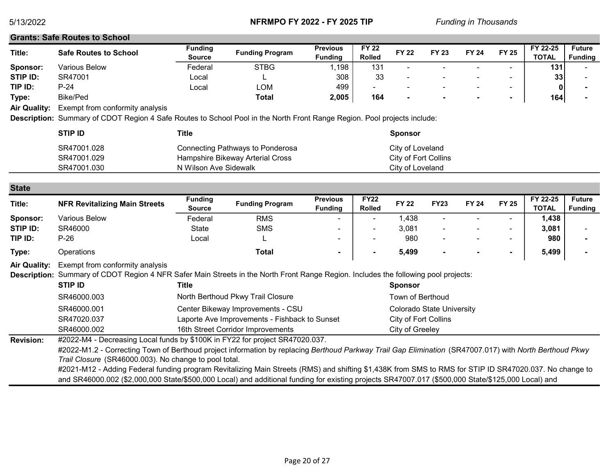#### Grants: Safe Routes to School

| Title:   | Safe Routes to School | <b>Funding</b><br><b>Source</b> | <b>Funding Program</b> | <b>Previous</b><br>Funding | <b>FY 22</b><br><b>Rolled</b> | <b>FY 22</b>             | <b>FY 23</b> | FY 24 | <b>FY 25</b> | FY 22-25<br><b>TOTAL</b> | <b>Future</b><br><b>Funding</b> |
|----------|-----------------------|---------------------------------|------------------------|----------------------------|-------------------------------|--------------------------|--------------|-------|--------------|--------------------------|---------------------------------|
| Sponsor: | Various Below         | Federal                         | <b>STBG</b>            | ,198                       | 13 <sup>′</sup>               | $\sim$                   |              | -     |              | 131                      |                                 |
| STIP ID: | SR47001               | ∟ocal                           |                        | 308                        | 33                            | $\overline{\phantom{a}}$ |              |       |              | 33                       |                                 |
| TIP ID:  | $P-24$                | ∟ocal                           | LOM                    | 499                        | $\overline{\phantom{a}}$      | $\sim$                   |              | -     |              | 0                        |                                 |
| Type:    | <b>Bike/Ped</b>       |                                 | <b>Total</b>           | 2,005                      | 164                           |                          |              |       |              | 164                      |                                 |
|          |                       |                                 |                        |                            |                               |                          |              |       |              |                          |                                 |

Air Quality: Exempt from conformity analysis

Description: Summary of CDOT Region 4 Safe Routes to School Pool in the North Front Range Region. Pool projects include:

| <b>STIP ID</b> | Title                            | <b>Sponsor</b>       |
|----------------|----------------------------------|----------------------|
| SR47001.028    | Connecting Pathways to Ponderosa | City of Loveland     |
| SR47001.029    | Hampshire Bikeway Arterial Cross | City of Fort Collins |
| SR47001.030    | N Wilson Ave Sidewalk            | City of Loveland     |

| ------   |                                      |                |                        |                          |               |              |             |                          |                          |              |                |
|----------|--------------------------------------|----------------|------------------------|--------------------------|---------------|--------------|-------------|--------------------------|--------------------------|--------------|----------------|
| Title:   | <b>NFR Revitalizing Main Streets</b> | <b>Funding</b> | <b>Funding Program</b> | <b>Previous</b>          | <b>FY22</b>   | <b>FY 22</b> |             | <b>FY 24</b>             |                          | FY 22-25     | <b>Future</b>  |
|          |                                      | <b>Source</b>  |                        | <b>Funding</b>           | <b>Rolled</b> |              | <b>FY23</b> |                          | <b>FY 25</b>             | <b>TOTAL</b> | <b>Funding</b> |
| Sponsor: | Various Below                        | Federal        | <b>RMS</b>             | $\overline{\phantom{a}}$ |               | ,438         |             |                          | $\overline{\phantom{a}}$ | 1,438        |                |
| STIP ID: | SR46000                              | <b>State</b>   | SMS                    | $\overline{\phantom{a}}$ | -             | 3,081        |             | $\overline{\phantom{0}}$ | $\overline{\phantom{a}}$ | 3,081        |                |
| TIP ID:  | $P-26$                               | Local          |                        | $\overline{\phantom{a}}$ |               | 980          |             |                          | $\overline{\phantom{0}}$ | 980          |                |
| Type:    | Operations                           |                | Total                  |                          |               | 5,499        |             |                          | $\sim$                   | 5,499        |                |

Air Quality: Exempt from conformity analysis

Description: Summary of CDOT Region 4 NFR Safer Main Streets in the North Front Range Region. Includes the following pool projects:

| <b>STIP ID</b> | Title                                         | <b>Sponsor</b>                   |
|----------------|-----------------------------------------------|----------------------------------|
| SR46000.003    | North Berthoud Pkwy Trail Closure             | Town of Berthoud                 |
| SR46000.001    | Center Bikeway Improvements - CSU             | <b>Colorado State University</b> |
| SR47020.037    | Laporte Ave Improvements - Fishback to Sunset | City of Fort Collins             |
| SR46000.002    | 16th Street Corridor Improvements             | City of Greeley                  |
|                |                                               |                                  |

Revision: #2022-M4 - Decreasing Local funds by \$100K in FY22 for project SR47020.037.

#2022-M1.2 - Correcting Town of Berthoud project information by replacing Berthoud Parkway Trail Gap Elimination (SR47007.017) with North Berthoud Pkwy Trail Closure (SR46000.003). No change to pool total.

#2021-M12 - Adding Federal funding program Revitalizing Main Streets (RMS) and shifting \$1,438K from SMS to RMS for STIP ID SR47020.037. No change to and SR46000.002 (\$2,000,000 State/\$500,000 Local) and additional funding for existing projects SR47007.017 (\$500,000 State/\$125,000 Local) and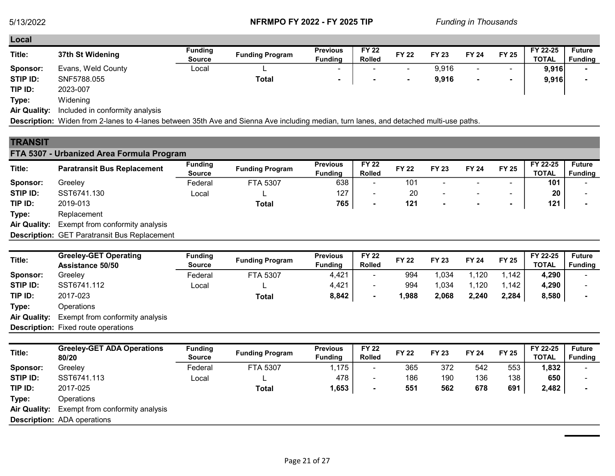Local

| Local    |                    |         |                        |                 |               |                          |              |                          |                          |              |                |
|----------|--------------------|---------|------------------------|-----------------|---------------|--------------------------|--------------|--------------------------|--------------------------|--------------|----------------|
| Title:   | 37th St Widening   | Funding | <b>Funding Program</b> | <b>Previous</b> | <b>FY 22</b>  | <b>FY 22</b>             | <b>FY 23</b> | <b>FY 24</b>             | <b>FY 25</b>             | FY 22-25     | <b>Future</b>  |
|          |                    | Source  |                        | <b>Fundina</b>  | <b>Rolled</b> |                          |              |                          |                          | <b>TOTAL</b> | <b>Funding</b> |
| Sponsor: | Evans, Weld County | Local   |                        | $\sim$          |               | ٠                        | 9,916        | $\overline{\phantom{a}}$ | -                        | 9,916        |                |
| STIP ID: | SNF5788.055        |         | <b>Total</b>           |                 |               | $\overline{\phantom{a}}$ | 9,916        | $\overline{\phantom{a}}$ | $\overline{\phantom{a}}$ | 9,916        |                |
| TIP ID:  | 2023-007           |         |                        |                 |               |                          |              |                          |                          |              |                |
| Type:    | Widening           |         |                        |                 |               |                          |              |                          |                          |              |                |

Air Quality: Included in conformity analysis

Description: Widen from 2-lanes to 4-lanes between 35th Ave and Sienna Ave including median, turn lanes, and detached multi-use paths.

# **TRANSIT**

# FTA 5307 - Urbanized Area Formula Program

| Title:              | <b>Paratransit Bus Replacement</b>                  | <b>Funding</b><br><b>Source</b> | <b>Funding Program</b> | <b>Previous</b><br><b>Funding</b> | <b>FY 22</b><br><b>Rolled</b> | <b>FY 22</b> | <b>FY 23</b>             | <b>FY 24</b>             | <b>FY 25</b>             | FY 22-25<br><b>TOTAL</b> | <b>Future</b><br><b>Funding</b> |
|---------------------|-----------------------------------------------------|---------------------------------|------------------------|-----------------------------------|-------------------------------|--------------|--------------------------|--------------------------|--------------------------|--------------------------|---------------------------------|
| Sponsor:            | Greelev                                             | Federal                         | FTA 5307               | 638                               | ۰                             | 101          | -                        |                          | $\overline{\phantom{a}}$ | 101                      |                                 |
| STIP ID:            | SST6741.130                                         | Local                           |                        | 127                               |                               | 20           | $\overline{\phantom{a}}$ | $\overline{\phantom{0}}$ | $\overline{\phantom{a}}$ | 20                       |                                 |
| TIP ID:             | 2019-013                                            |                                 | Total                  | 765                               | $\overline{\phantom{a}}$      | 121          | $\blacksquare$           | $\blacksquare$           | $\overline{\phantom{a}}$ | 121                      |                                 |
| Type:               | Replacement                                         |                                 |                        |                                   |                               |              |                          |                          |                          |                          |                                 |
| <b>Air Quality:</b> | Exempt from conformity analysis                     |                                 |                        |                                   |                               |              |                          |                          |                          |                          |                                 |
|                     | <b>Description: GET Paratransit Bus Replacement</b> |                                 |                        |                                   |                               |              |                          |                          |                          |                          |                                 |

| Title:              | <b>Greeley-GET Operating</b><br>Assistance 50/50 | <b>Funding</b><br><b>Source</b> | <b>Funding Program</b> | <b>Previous</b><br><b>Funding</b> | <b>FY 22</b><br><b>Rolled</b> | <b>FY 22</b> | <b>FY 23</b> | <b>FY 24</b> | <b>FY 25</b> | FY 22-25<br><b>TOTAL</b> | <b>Future</b><br><b>Funding</b> |
|---------------------|--------------------------------------------------|---------------------------------|------------------------|-----------------------------------|-------------------------------|--------------|--------------|--------------|--------------|--------------------------|---------------------------------|
| Sponsor:            | Greeley                                          | Federal                         | FTA 5307               | 4,421                             | $\overline{\phantom{a}}$      | 994          | 034,ا        | ,120         | ,142         | 4,290                    |                                 |
| STIP ID:            | SST6741.112                                      | Local                           |                        | 4,421                             |                               | 994          | 1,034        | ,120         | ,142         | 4,290                    |                                 |
| TIP ID:             | 2017-023                                         |                                 | Total                  | 8,842                             | $\blacksquare$                | 1,988        | 2,068        | 2,240        | 2,284        | 8,580                    |                                 |
| Type:               | Operations                                       |                                 |                        |                                   |                               |              |              |              |              |                          |                                 |
| <b>Air Quality:</b> | Exempt from conformity analysis                  |                                 |                        |                                   |                               |              |              |              |              |                          |                                 |
|                     | <b>Description:</b> Fixed route operations       |                                 |                        |                                   |                               |              |              |              |              |                          |                                 |
|                     |                                                  |                                 |                        |                                   |                               |              |              |              |              |                          |                                 |

| Title:<br>80/20                    | <b>Greeley-GET ADA Operations</b> | <b>Funding</b><br><b>Source</b> | <b>Funding Program</b> | <b>Previous</b><br><b>Funding</b> | <b>FY 22</b><br><b>Rolled</b> | <b>FY 22</b> | <b>FY 23</b> | <b>FY 24</b> | <b>FY 25</b> | FY 22-25<br><b>TOTAL</b> | <b>Future</b><br><b>Funding</b> |
|------------------------------------|-----------------------------------|---------------------------------|------------------------|-----------------------------------|-------------------------------|--------------|--------------|--------------|--------------|--------------------------|---------------------------------|
| Sponsor:<br>Greeley                |                                   | Federal                         | FTA 5307               | 1,175                             |                               | 365          | 372          | 542          | 553          | 1,832                    |                                 |
| STIP ID:<br>SST6741.113            |                                   | Local                           |                        | 478                               | ۰.                            | 186          | 190          | 136          | 138          | 650                      |                                 |
| TIP ID:<br>2017-025                |                                   |                                 | Total                  | 1,653                             | ۰                             | 551          | 562          | 678          | 691          | 2,482                    |                                 |
| Type:<br>Operations                |                                   |                                 |                        |                                   |                               |              |              |              |              |                          |                                 |
| <b>Air Quality:</b>                | Exempt from conformity analysis   |                                 |                        |                                   |                               |              |              |              |              |                          |                                 |
| <b>Description: ADA operations</b> |                                   |                                 |                        |                                   |                               |              |              |              |              |                          |                                 |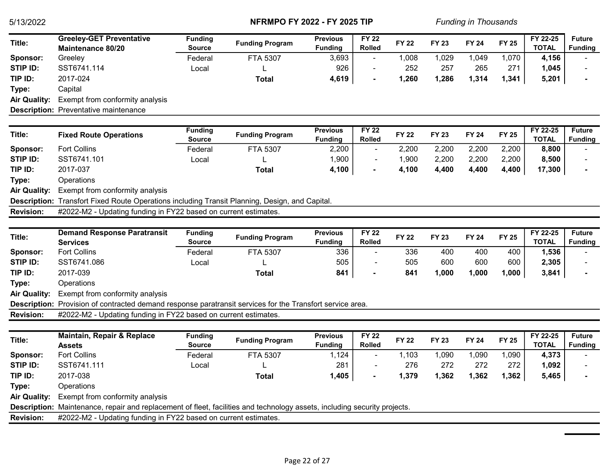| Title:              | <b>Greeley-GET Preventative</b><br><b>Maintenance 80/20</b>                                                               | <b>Funding</b><br><b>Source</b> | <b>Funding Program</b> | <b>Previous</b><br><b>Funding</b> | <b>FY 22</b><br><b>Rolled</b> | <b>FY 22</b> | <b>FY 23</b> | <b>FY 24</b> | <b>FY 25</b> | FY 22-25<br><b>TOTAL</b> | <b>Future</b><br><b>Funding</b> |
|---------------------|---------------------------------------------------------------------------------------------------------------------------|---------------------------------|------------------------|-----------------------------------|-------------------------------|--------------|--------------|--------------|--------------|--------------------------|---------------------------------|
| Sponsor:            | Greeley                                                                                                                   | Federal                         | FTA 5307               | 3,693                             |                               | 1,008        | 1,029        | 1,049        | 1,070        | 4,156                    |                                 |
| STIP ID:            | SST6741.114                                                                                                               | Local                           |                        | 926                               | $\blacksquare$                | 252          | 257          | 265          | 271          | 1,045                    |                                 |
| TIP ID:             | 2017-024                                                                                                                  |                                 | <b>Total</b>           | 4,619                             |                               | 1,260        | 1,286        | 1,314        | 1,341        | 5,201                    |                                 |
| Type:               | Capital                                                                                                                   |                                 |                        |                                   |                               |              |              |              |              |                          |                                 |
| <b>Air Quality:</b> | Exempt from conformity analysis                                                                                           |                                 |                        |                                   |                               |              |              |              |              |                          |                                 |
|                     | <b>Description:</b> Preventative maintenance                                                                              |                                 |                        |                                   |                               |              |              |              |              |                          |                                 |
|                     |                                                                                                                           |                                 |                        |                                   |                               |              |              |              |              |                          |                                 |
| Title:              | <b>Fixed Route Operations</b>                                                                                             | <b>Funding</b><br>Source        | <b>Funding Program</b> | <b>Previous</b><br><b>Funding</b> | <b>FY 22</b><br><b>Rolled</b> | <b>FY 22</b> | <b>FY 23</b> | <b>FY 24</b> | <b>FY 25</b> | FY 22-25<br><b>TOTAL</b> | <b>Future</b><br><b>Funding</b> |
| Sponsor:            | <b>Fort Collins</b>                                                                                                       | Federal                         | FTA 5307               | 2,200                             | $\blacksquare$                | 2,200        | 2,200        | 2,200        | 2,200        | 8,800                    |                                 |
| STIP ID:            | SST6741.101                                                                                                               | Local                           |                        | 1,900                             | $\blacksquare$                | 1,900        | 2,200        | 2,200        | 2,200        | 8,500                    |                                 |
| TIP ID:             | 2017-037                                                                                                                  |                                 | <b>Total</b>           | 4,100                             | $\blacksquare$                | 4,100        | 4,400        | 4,400        | 4,400        | 17,300                   |                                 |
| Type:               | Operations                                                                                                                |                                 |                        |                                   |                               |              |              |              |              |                          |                                 |
| <b>Air Quality:</b> | Exempt from conformity analysis                                                                                           |                                 |                        |                                   |                               |              |              |              |              |                          |                                 |
|                     | Description: Transfort Fixed Route Operations including Transit Planning, Design, and Capital.                            |                                 |                        |                                   |                               |              |              |              |              |                          |                                 |
| <b>Revision:</b>    | #2022-M2 - Updating funding in FY22 based on current estimates.                                                           |                                 |                        |                                   |                               |              |              |              |              |                          |                                 |
|                     |                                                                                                                           |                                 |                        |                                   |                               |              |              |              |              |                          |                                 |
| Title:              | <b>Demand Response Paratransit</b>                                                                                        | <b>Funding</b>                  | <b>Funding Program</b> | <b>Previous</b>                   | <b>FY 22</b>                  | <b>FY 22</b> | FY 23        | <b>FY 24</b> | <b>FY 25</b> | FY 22-25                 | <b>Future</b>                   |
|                     | <b>Services</b>                                                                                                           | <b>Source</b>                   |                        | <b>Funding</b>                    | <b>Rolled</b>                 |              |              |              |              | <b>TOTAL</b>             | <b>Funding</b>                  |
| Sponsor:            | <b>Fort Collins</b>                                                                                                       | Federal                         | FTA 5307               | 336                               | $\sim$                        | 336          | 400          | 400          | 400          | 1,536                    |                                 |
| <b>STIP ID:</b>     | SST6741.086                                                                                                               | Local                           |                        | 505                               | $\blacksquare$                | 505          | 600          | 600          | 600          | 2,305                    |                                 |
| TIP ID:             | 2017-039                                                                                                                  |                                 | <b>Total</b>           | 841                               |                               | 841          | 1,000        | 1,000        | 1,000        | 3,841                    |                                 |
| Type:               | Operations                                                                                                                |                                 |                        |                                   |                               |              |              |              |              |                          |                                 |
| <b>Air Quality:</b> | Exempt from conformity analysis                                                                                           |                                 |                        |                                   |                               |              |              |              |              |                          |                                 |
|                     | Description: Provision of contracted demand response paratransit services for the Transfort service area.                 |                                 |                        |                                   |                               |              |              |              |              |                          |                                 |
| <b>Revision:</b>    | #2022-M2 - Updating funding in FY22 based on current estimates.                                                           |                                 |                        |                                   |                               |              |              |              |              |                          |                                 |
|                     |                                                                                                                           |                                 |                        |                                   |                               |              |              |              |              |                          |                                 |
| Title:              | <b>Maintain, Repair &amp; Replace</b><br><b>Assets</b>                                                                    | <b>Funding</b><br><b>Source</b> | <b>Funding Program</b> | <b>Previous</b><br><b>Funding</b> | $FY$ 22<br><b>Rolled</b>      | <b>FY 22</b> | <b>FY 23</b> | <b>FY 24</b> | <b>FY 25</b> | FY 22-25<br><b>TOTAL</b> | <b>Future</b><br><b>Funding</b> |
| Sponsor:            | <b>Fort Collins</b>                                                                                                       | Federal                         | FTA 5307               | 1,124                             | $\blacksquare$                | 1,103        | 1,090        | 1,090        | 1,090        | 4,373                    |                                 |
| STIP ID:            | SST6741.111                                                                                                               | Local                           |                        | 281                               |                               | 276          | 272          | 272          | 272          | 1,092                    |                                 |
| TIP ID:             | 2017-038                                                                                                                  |                                 | <b>Total</b>           | 1,405                             |                               | 1,379        | 1,362        | 1,362        | 1,362        | 5,465                    |                                 |
| Type:               | Operations                                                                                                                |                                 |                        |                                   |                               |              |              |              |              |                          |                                 |
| <b>Air Quality:</b> | Exempt from conformity analysis                                                                                           |                                 |                        |                                   |                               |              |              |              |              |                          |                                 |
|                     | Description: Maintenance, repair and replacement of fleet, facilities and technology assets, including security projects. |                                 |                        |                                   |                               |              |              |              |              |                          |                                 |
| <b>Revision:</b>    | #2022-M2 - Updating funding in FY22 based on current estimates.                                                           |                                 |                        |                                   |                               |              |              |              |              |                          |                                 |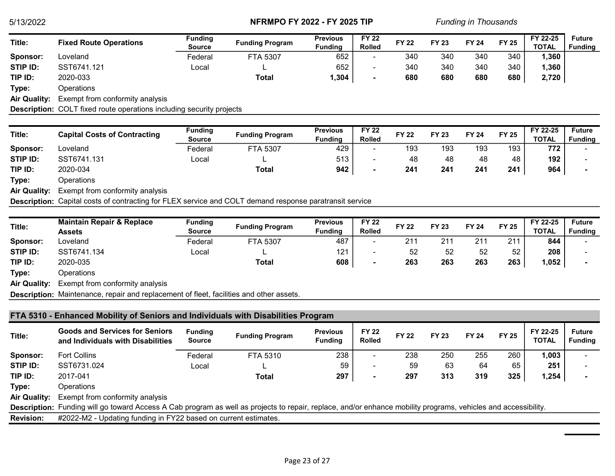| Title:              | <b>Fixed Route Operations</b>   | <b>Funding</b> | <b>Funding Program</b> | <b>Previous</b> | <b>FY 22</b>             | <b>FY 22</b> | <b>FY 23</b> | <b>FY 24</b> | <b>FY 25</b> | FY 22-25     | <b>Future</b>  |
|---------------------|---------------------------------|----------------|------------------------|-----------------|--------------------------|--------------|--------------|--------------|--------------|--------------|----------------|
|                     |                                 | Source         |                        | <b>Funding</b>  | <b>Rolled</b>            |              |              |              |              | <b>TOTAL</b> | <b>Funding</b> |
| Sponsor:            | Loveland                        | Federal        | <b>FTA 5307</b>        | 652             | $\overline{\phantom{a}}$ | 340          | 340          | 340          | 340          | 1,360        |                |
| STIP ID:            | SST6741.121                     | Local          |                        | 652             | $\overline{\phantom{a}}$ | 340          | 340          | 340          | 340          | 1,360        |                |
| TIP ID:             | 2020-033                        |                | <b>Total</b>           | 304،،           | $\blacksquare$           | 680          | 680          | 680          | 680          | 2,720        |                |
| Type:               | Operations                      |                |                        |                 |                          |              |              |              |              |              |                |
| <b>Air Quality:</b> | Exempt from conformity analysis |                |                        |                 |                          |              |              |              |              |              |                |

Description: COLT fixed route operations including security projects

| Title:              | <b>Capital Costs of Contracting</b> | <b>Funding</b><br><b>Source</b> | <b>Funding Program</b>      | <b>Previous</b><br><b>Fundina</b> | <b>FY 22</b><br><b>Rolled</b> | <b>FY 22</b> | <b>FY 23</b> | <b>FY 24</b> | <b>FY 25</b> | FY 22-25<br><b>TOTAL</b> | <b>Future</b><br><b>Funding</b> |
|---------------------|-------------------------------------|---------------------------------|-----------------------------|-----------------------------------|-------------------------------|--------------|--------------|--------------|--------------|--------------------------|---------------------------------|
| Sponsor:            | Loveland                            | Federal                         | FTA 5307                    | 429                               |                               | 193          | 193          | 193          | 193          | 772                      |                                 |
| STIP ID:            | SST6741.131                         | Local                           |                             | 513                               | $\overline{\phantom{a}}$      | 48           | 48           | 48           | 48           | 192                      |                                 |
| TIP ID:             | 2020-034                            |                                 | Total                       | 942                               | $\sim$                        | 241          | 241          | 241          | 241          | 964                      |                                 |
| Type:               | Operations                          |                                 |                             |                                   |                               |              |              |              |              |                          |                                 |
| <b>Air Quality:</b> | Exempt from conformity analysis     |                                 |                             |                                   |                               |              |              |              |              |                          |                                 |
|                     | $- \cdot - \cdot$<br>_ _            |                                 | $\sim$ $\sim$ $\sim$ $\sim$ | $\cdots$                          |                               |              |              |              |              |                          |                                 |

Description: Capital costs of contracting for FLEX service and COLT demand response paratransit service

| Title:              | <b>Maintain Repair &amp; Replace</b><br>Assets                                          | <b>Funding</b><br>Source | <b>Funding Program</b> | <b>Previous</b><br><b>Funding</b> | <b>FY 22</b><br><b>Rolled</b> | <b>FY 22</b> | <b>FY 23</b> | <b>FY 24</b> | <b>FY 25</b> | FY 22-25<br><b>TOTAL</b> | <b>Future</b><br><b>Funding</b> |
|---------------------|-----------------------------------------------------------------------------------------|--------------------------|------------------------|-----------------------------------|-------------------------------|--------------|--------------|--------------|--------------|--------------------------|---------------------------------|
| Sponsor:            | Loveland                                                                                | Federal                  | <b>FTA 5307</b>        | 487                               |                               | 211          | 211          | 211          | 211          | 844                      |                                 |
| STIP ID:            | SST6741.134                                                                             | Local                    | -                      | 121                               | $\overline{\phantom{a}}$      | 52           | 52           | 52           | 52           | 208                      |                                 |
| TIP ID:             | 2020-035                                                                                |                          | Total                  | 608                               | $\overline{\phantom{a}}$      | 263          | 263          | 263          | 263          | 952. ا                   |                                 |
| Type:               | Operations                                                                              |                          |                        |                                   |                               |              |              |              |              |                          |                                 |
| <b>Air Quality:</b> | Exempt from conformity analysis                                                         |                          |                        |                                   |                               |              |              |              |              |                          |                                 |
|                     | Description: Maintenance, repair and replacement of fleet, facilities and other assets. |                          |                        |                                   |                               |              |              |              |              |                          |                                 |

|                     | FTA 5310 - Enhanced Mobility of Seniors and Individuals with Disabilities Program                                                                                                                                                 |                                 |                        |                                   |                               |              |              |              |              |                          |                                 |  |  |
|---------------------|-----------------------------------------------------------------------------------------------------------------------------------------------------------------------------------------------------------------------------------|---------------------------------|------------------------|-----------------------------------|-------------------------------|--------------|--------------|--------------|--------------|--------------------------|---------------------------------|--|--|
| Title:              | <b>Goods and Services for Seniors</b><br>and Individuals with Disabilities                                                                                                                                                        | <b>Funding</b><br><b>Source</b> | <b>Funding Program</b> | <b>Previous</b><br><b>Funding</b> | <b>FY 22</b><br><b>Rolled</b> | <b>FY 22</b> | <b>FY 23</b> | <b>FY 24</b> | <b>FY 25</b> | FY 22-25<br><b>TOTAL</b> | <b>Future</b><br><b>Funding</b> |  |  |
| Sponsor:            | <b>Fort Collins</b>                                                                                                                                                                                                               | Federal                         | FTA 5310               | 238                               |                               | 238          | 250          | 255          | 260          | 1,003                    |                                 |  |  |
| STIP ID:            | SST6731.024                                                                                                                                                                                                                       | Local                           |                        | 59                                | ۰                             | 59           | 63           | 64           | 65           | 251                      |                                 |  |  |
| TIP ID:             | 2017-041                                                                                                                                                                                                                          |                                 | Total                  | 297                               |                               | 297          | 313          | 319          | 325          | 1,254                    |                                 |  |  |
| Type:               | Operations                                                                                                                                                                                                                        |                                 |                        |                                   |                               |              |              |              |              |                          |                                 |  |  |
| <b>Air Quality:</b> | Exempt from conformity analysis                                                                                                                                                                                                   |                                 |                        |                                   |                               |              |              |              |              |                          |                                 |  |  |
|                     |                                                                                                                                                                                                                                   |                                 |                        |                                   |                               |              |              |              |              |                          |                                 |  |  |
| <b>Revision:</b>    | Description: Funding will go toward Access A Cab program as well as projects to repair, replace, and/or enhance mobility programs, vehicles and accessibility.<br>#2022-M2 - Updating funding in FY22 based on current estimates. |                                 |                        |                                   |                               |              |              |              |              |                          |                                 |  |  |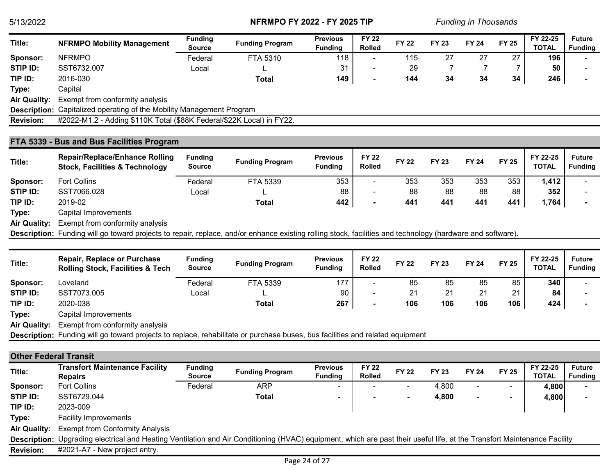| Title:              | <b>NFRMPO Mobility Management</b>                                            | <b>Funding</b><br><b>Source</b> | <b>Funding Program</b> | <b>Previous</b><br><b>Funding</b> | <b>FY 22</b><br><b>Rolled</b> | <b>FY 22</b> | <b>FY 23</b> | <b>FY 24</b> | <b>FY 25</b> | FY 22-25<br><b>TOTAL</b> | <b>Future</b><br><b>Funding</b> |
|---------------------|------------------------------------------------------------------------------|---------------------------------|------------------------|-----------------------------------|-------------------------------|--------------|--------------|--------------|--------------|--------------------------|---------------------------------|
| Sponsor:            | <b>NFRMPO</b>                                                                | Federal                         | FTA 5310               | 118                               | $\overline{\phantom{a}}$      | 115          | 27           | 27           | 27           | 196                      |                                 |
| STIP ID:            | SST6732.007                                                                  | Local                           |                        | 31                                | ۰                             | 29           |              |              |              | 50                       |                                 |
| TIP ID:             | 2016-030                                                                     |                                 | Total                  | 149                               |                               | 144          | 34           | 34           | 34           | 246                      |                                 |
| Type:               | Capital                                                                      |                                 |                        |                                   |                               |              |              |              |              |                          |                                 |
| <b>Air Quality:</b> | Exempt from conformity analysis                                              |                                 |                        |                                   |                               |              |              |              |              |                          |                                 |
|                     | <b>Description:</b> Capitalized operating of the Mobility Management Program |                                 |                        |                                   |                               |              |              |              |              |                          |                                 |
| <b>Revision:</b>    | #2022-M1.2 - Adding \$110K Total (\$88K Federal/\$22K Local) in FY22.        |                                 |                        |                                   |                               |              |              |              |              |                          |                                 |

## FTA 5339 - Bus and Bus Facilities Program

| Title:              | <b>Repair/Replace/Enhance Rolling</b><br><b>Stock, Facilities &amp; Technology</b> | <b>Funding</b><br><b>Source</b> | <b>Funding Program</b> | <b>Previous</b><br><b>Funding</b> | <b>FY 22</b><br><b>Rolled</b> | <b>FY 22</b> | <b>FY 23</b> | <b>FY 24</b> | <b>FY 25</b> | FY 22-25<br><b>TOTAL</b> | <b>Future</b><br><b>Funding</b> |
|---------------------|------------------------------------------------------------------------------------|---------------------------------|------------------------|-----------------------------------|-------------------------------|--------------|--------------|--------------|--------------|--------------------------|---------------------------------|
| Sponsor:            | <b>Fort Collins</b>                                                                | Federal                         | FTA 5339               | 353                               | $\overline{\phantom{a}}$      | 353          | 353          | 353          | 353          | 1,412                    |                                 |
| STIP ID:            | SST7066.028                                                                        | Local                           |                        | 88                                | $\overline{\phantom{a}}$      | 88           | 88           | 88           | 88           | 352                      |                                 |
| TIP ID:             | 2019-02                                                                            |                                 | Total                  | 442                               | $\sim$                        | 441          | 441          | 441          | 441          | 1,764                    |                                 |
| Type:               | Capital Improvements                                                               |                                 |                        |                                   |                               |              |              |              |              |                          |                                 |
| <b>Air Quality:</b> | Exempt from conformity analysis                                                    |                                 |                        |                                   |                               |              |              |              |              |                          |                                 |

Description: Funding will go toward projects to repair, replace, and/or enhance existing rolling stock, facilities and technology (hardware and software).

| Title:              | <b>Repair, Replace or Purchase</b><br><b>Rolling Stock, Facilities &amp; Tech</b> | <b>Funding</b><br><b>Source</b> | <b>Funding Program</b> | <b>Previous</b><br><b>Funding</b> | <b>FY 22</b><br><b>Rolled</b> | <b>FY 22</b> | <b>FY 23</b> | <b>FY 24</b> | <b>FY 25</b> | FY 22-25<br><b>TOTAL</b> | <b>Future</b><br><b>Funding</b> |
|---------------------|-----------------------------------------------------------------------------------|---------------------------------|------------------------|-----------------------------------|-------------------------------|--------------|--------------|--------------|--------------|--------------------------|---------------------------------|
| Sponsor:            | Loveland                                                                          | Federal                         | FTA 5339               | 177                               | -                             | 85           | 85           | 85           | 85           | 340                      |                                 |
| STIP ID:            | SST7073.005                                                                       | Local                           |                        | 90                                | ۰                             | 21           | 21           | 21           | 21           | 84                       |                                 |
| TIP ID:             | 2020-038                                                                          |                                 | Total                  | 267                               |                               | 106          | 106          | 106          | 106          | 424                      |                                 |
| Type:               | Capital Improvements                                                              |                                 |                        |                                   |                               |              |              |              |              |                          |                                 |
| <b>Air Quality:</b> | Exempt from conformity analysis                                                   |                                 |                        |                                   |                               |              |              |              |              |                          |                                 |

Description: Funding will go toward projects to replace, rehabilitate or purchase buses, bus facilities and related equipment

## Other Federal Transit

| Title:              | <b>Transfort Maintenance Facility</b><br><b>Repairs</b>                                                                                                                  | <b>Funding</b><br>Source | <b>Funding Program</b> | <b>Previous</b><br><b>Funding</b> | <b>FY 22</b><br><b>Rolled</b> | <b>FY 22</b>             | <b>FY 23</b> | <b>FY 24</b>             | <b>FY 25</b> | FY 22-25<br><b>TOTAL</b> | <b>Future</b><br><b>Funding</b> |
|---------------------|--------------------------------------------------------------------------------------------------------------------------------------------------------------------------|--------------------------|------------------------|-----------------------------------|-------------------------------|--------------------------|--------------|--------------------------|--------------|--------------------------|---------------------------------|
| Sponsor:            | <b>Fort Collins</b>                                                                                                                                                      | Federal                  | ARP                    | -                                 |                               |                          | 4.800        | $\overline{\phantom{0}}$ |              | 4,800                    |                                 |
| STIP ID:            | SST6729.044                                                                                                                                                              |                          | Total                  |                                   |                               | $\overline{\phantom{a}}$ | 4,800        |                          | ۰            | 4,800                    |                                 |
| TIP ID:             | 2023-009                                                                                                                                                                 |                          |                        |                                   |                               |                          |              |                          |              |                          |                                 |
| Type:               | <b>Facility Improvements</b>                                                                                                                                             |                          |                        |                                   |                               |                          |              |                          |              |                          |                                 |
| <b>Air Quality:</b> | <b>Exempt from Conformity Analysis</b>                                                                                                                                   |                          |                        |                                   |                               |                          |              |                          |              |                          |                                 |
|                     | Description: Upgrading electrical and Heating Ventilation and Air Conditioning (HVAC) equipment, which are past their useful life, at the Transfort Maintenance Facility |                          |                        |                                   |                               |                          |              |                          |              |                          |                                 |
| <b>Revision:</b>    | #2021-A7 - New project entry.                                                                                                                                            |                          |                        |                                   |                               |                          |              |                          |              |                          |                                 |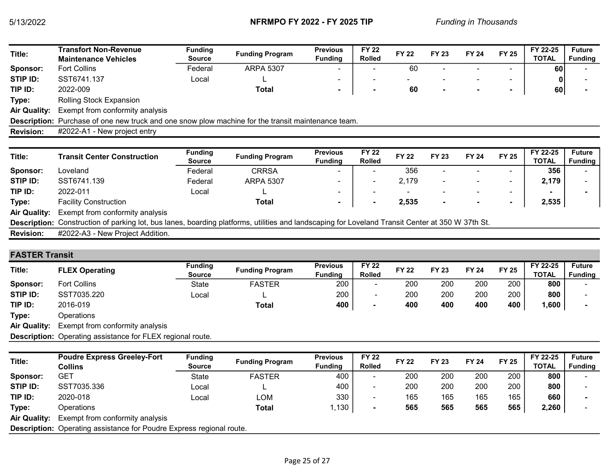| Title:              | Transfort Non-Revenue<br><b>Maintenance Vehicles</b>                                                                                             | <b>Funding</b><br>Source | <b>Funding Program</b> | <b>Previous</b><br><b>Funding</b> | <b>FY 22</b><br><b>Rolled</b> | <b>FY 22</b> | <b>FY 23</b> | <b>FY 24</b>             | <b>FY 25</b>             | FY 22-25<br><b>TOTAL</b> | <b>Future</b><br><b>Funding</b> |
|---------------------|--------------------------------------------------------------------------------------------------------------------------------------------------|--------------------------|------------------------|-----------------------------------|-------------------------------|--------------|--------------|--------------------------|--------------------------|--------------------------|---------------------------------|
| <b>Sponsor:</b>     | <b>Fort Collins</b>                                                                                                                              | Federal                  | <b>ARPA 5307</b>       |                                   |                               | 60           |              |                          |                          | <b>60</b>                |                                 |
| STIP ID:            | SST6741.137                                                                                                                                      | Local                    |                        |                                   |                               |              |              | ۰                        | $\tilde{\phantom{a}}$    |                          |                                 |
| TIP ID:             | 2022-009                                                                                                                                         |                          | Total                  | $\blacksquare$                    |                               | 60           |              | $\blacksquare$           | $\blacksquare$           | 60                       |                                 |
| Type:               | <b>Rolling Stock Expansion</b>                                                                                                                   |                          |                        |                                   |                               |              |              |                          |                          |                          |                                 |
| <b>Air Quality:</b> | Exempt from conformity analysis                                                                                                                  |                          |                        |                                   |                               |              |              |                          |                          |                          |                                 |
|                     | Description: Purchase of one new truck and one snow plow machine for the transit maintenance team.                                               |                          |                        |                                   |                               |              |              |                          |                          |                          |                                 |
| <b>Revision:</b>    | #2022-A1 - New project entry                                                                                                                     |                          |                        |                                   |                               |              |              |                          |                          |                          |                                 |
|                     |                                                                                                                                                  |                          |                        |                                   |                               |              |              |                          |                          |                          |                                 |
|                     |                                                                                                                                                  |                          |                        |                                   |                               |              |              |                          |                          |                          |                                 |
| Title:              | <b>Transit Center Construction</b>                                                                                                               | <b>Funding</b><br>Source | <b>Funding Program</b> | <b>Previous</b><br><b>Funding</b> | <b>FY 22</b><br><b>Rolled</b> | <b>FY 22</b> | <b>FY 23</b> | <b>FY 24</b>             | <b>FY 25</b>             | FY 22-25<br><b>TOTAL</b> | <b>Future</b>                   |
| <b>Sponsor:</b>     | Loveland                                                                                                                                         | Federal                  | <b>CRRSA</b>           |                                   |                               | 356          |              |                          | $\overline{\phantom{0}}$ | 356                      | <b>Funding</b>                  |
| STIP ID:            | SST6741.139                                                                                                                                      | Federal                  | <b>ARPA 5307</b>       |                                   |                               | 2,179        |              |                          | $\tilde{\phantom{a}}$    | 2,179                    |                                 |
| TIP ID:             | 2022-011                                                                                                                                         | Local                    |                        | ۰                                 |                               |              |              | $\overline{\phantom{a}}$ | ٠                        |                          |                                 |
| Type:               | <b>Facility Construction</b>                                                                                                                     |                          | Total                  |                                   |                               | 2,535        |              | $\blacksquare$           | $\blacksquare$           | 2,535                    |                                 |
| <b>Air Quality:</b> | Exempt from conformity analysis                                                                                                                  |                          |                        |                                   |                               |              |              |                          |                          |                          |                                 |
|                     | Description: Construction of parking lot, bus lanes, boarding platforms, utilities and landscaping for Loveland Transit Center at 350 W 37th St. |                          |                        |                                   |                               |              |              |                          |                          |                          |                                 |

# FASTER Transit

| Title:              | <b>FLEX Operating</b>                                             | <b>Funding</b><br><b>Source</b> | <b>Funding Program</b> | <b>Previous</b><br><b>Funding</b> | <b>FY 22</b><br><b>Rolled</b> | <b>FY 22</b> | <b>FY 23</b> | <b>FY 24</b> | <b>FY 25</b> | FY 22-25<br><b>TOTAL</b> | <b>Future</b><br><b>Funding</b> |
|---------------------|-------------------------------------------------------------------|---------------------------------|------------------------|-----------------------------------|-------------------------------|--------------|--------------|--------------|--------------|--------------------------|---------------------------------|
| Sponsor:            | <b>Fort Collins</b>                                               | State                           | <b>FASTER</b>          | 200                               | $\overline{\phantom{a}}$      | 200          | 200          | 200          | 200          | 800                      |                                 |
| STIP ID:            | SST7035.220                                                       | Local                           |                        | 200                               |                               | 200          | 200          | 200          | 200          | 800                      |                                 |
| TIP ID:             | 2016-019                                                          |                                 | Total                  | 400                               |                               | 400          | 400          | 400          | 400          | 000, ا                   |                                 |
| Type:               | Operations                                                        |                                 |                        |                                   |                               |              |              |              |              |                          |                                 |
| <b>Air Quality:</b> | Exempt from conformity analysis                                   |                                 |                        |                                   |                               |              |              |              |              |                          |                                 |
|                     | <b>Description:</b> Operating assistance for FLEX regional route. |                                 |                        |                                   |                               |              |              |              |              |                          |                                 |

| Title:              | <b>Poudre Express Greeley-Fort</b><br>Collins                               | <b>Funding</b><br>Source | <b>Funding Program</b> | <b>Previous</b><br><b>Funding</b> | <b>FY 22</b><br><b>Rolled</b> | <b>FY 22</b> | <b>FY 23</b> | <b>FY 24</b> | <b>FY 25</b> | FY 22-25<br><b>TOTAL</b> | <b>Future</b><br><b>Funding</b> |
|---------------------|-----------------------------------------------------------------------------|--------------------------|------------------------|-----------------------------------|-------------------------------|--------------|--------------|--------------|--------------|--------------------------|---------------------------------|
| Sponsor:            | GET                                                                         | <b>State</b>             | <b>FASTER</b>          | 400                               | $\overline{\phantom{0}}$      | 200          | 200          | 200          | 200          | 800                      |                                 |
| STIP ID:            | SST7035.336                                                                 | Local                    | ь.                     | 400                               | $\sim$                        | 200          | 200          | 200          | 200          | 800                      |                                 |
| TIP ID:             | 2020-018                                                                    | Local                    | LOM                    | 330                               |                               | 165          | 165          | 165          | 165          | 660                      |                                 |
| Type:               | Operations                                                                  |                          | Total                  | ,130                              |                               | 565          | 565          | 565          | 565          | 2,260                    |                                 |
| <b>Air Quality:</b> | Exempt from conformity analysis                                             |                          |                        |                                   |                               |              |              |              |              |                          |                                 |
|                     | <b>Description:</b> Operating assistance for Poudre Express regional route. |                          |                        |                                   |                               |              |              |              |              |                          |                                 |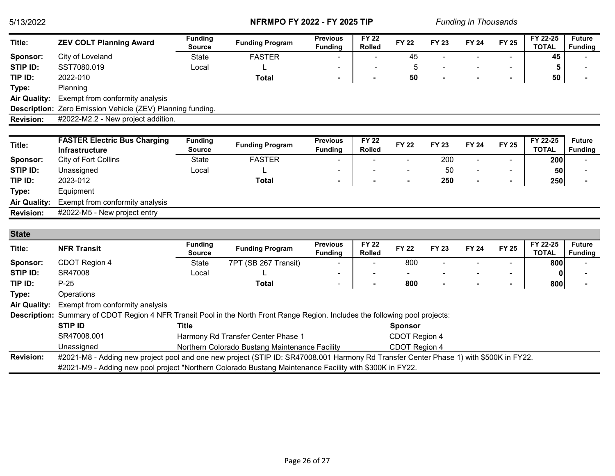| Title:              | <b>ZEV COLT Planning Award</b>                                                                                                                                                                                                                   | <b>Funding</b><br><b>Source</b> | <b>Funding Program</b>                         | <b>Previous</b><br><b>Funding</b> | <b>FY 22</b><br><b>Rolled</b> | <b>FY 22</b>   | <b>FY 23</b> | <b>FY 24</b>   | <b>FY 25</b>   | FY 22-25<br><b>TOTAL</b> | <b>Future</b><br><b>Funding</b> |
|---------------------|--------------------------------------------------------------------------------------------------------------------------------------------------------------------------------------------------------------------------------------------------|---------------------------------|------------------------------------------------|-----------------------------------|-------------------------------|----------------|--------------|----------------|----------------|--------------------------|---------------------------------|
| Sponsor:            | City of Loveland                                                                                                                                                                                                                                 | <b>State</b>                    | <b>FASTER</b>                                  |                                   |                               | 45             |              |                |                | 45                       |                                 |
| STIP ID:            | SST7080.019                                                                                                                                                                                                                                      | Local                           |                                                |                                   |                               | 5              |              |                |                | 5                        |                                 |
| TIP ID:             | 2022-010                                                                                                                                                                                                                                         |                                 | <b>Total</b>                                   | $\blacksquare$                    |                               | 50             |              |                | $\blacksquare$ | 50                       |                                 |
| Type:               | Planning                                                                                                                                                                                                                                         |                                 |                                                |                                   |                               |                |              |                |                |                          |                                 |
| <b>Air Quality:</b> | Exempt from conformity analysis                                                                                                                                                                                                                  |                                 |                                                |                                   |                               |                |              |                |                |                          |                                 |
|                     | Description: Zero Emission Vehicle (ZEV) Planning funding.                                                                                                                                                                                       |                                 |                                                |                                   |                               |                |              |                |                |                          |                                 |
| <b>Revision:</b>    | #2022-M2.2 - New project addition.                                                                                                                                                                                                               |                                 |                                                |                                   |                               |                |              |                |                |                          |                                 |
|                     |                                                                                                                                                                                                                                                  |                                 |                                                |                                   |                               |                |              |                |                |                          |                                 |
| Title:              | <b>FASTER Electric Bus Charging</b>                                                                                                                                                                                                              | <b>Funding</b>                  | <b>Funding Program</b>                         | <b>Previous</b>                   | <b>FY 22</b>                  | <b>FY 22</b>   | <b>FY 23</b> | <b>FY 24</b>   | <b>FY 25</b>   | FY 22-25                 | <b>Future</b>                   |
|                     | <b>Infrastructure</b>                                                                                                                                                                                                                            | <b>Source</b>                   |                                                | <b>Funding</b>                    | <b>Rolled</b>                 |                |              |                |                | <b>TOTAL</b>             | <b>Funding</b>                  |
| Sponsor:            | City of Fort Collins                                                                                                                                                                                                                             | <b>State</b>                    | <b>FASTER</b>                                  |                                   |                               |                | 200          | $\blacksquare$ | $\blacksquare$ | 200                      |                                 |
| <b>STIP ID:</b>     | Unassigned                                                                                                                                                                                                                                       | Local                           |                                                |                                   |                               |                | 50           |                | $\blacksquare$ | 50                       |                                 |
| TIP ID:             | 2023-012                                                                                                                                                                                                                                         |                                 | <b>Total</b>                                   |                                   |                               |                | 250          |                | $\blacksquare$ | 250                      |                                 |
| Type:               | Equipment                                                                                                                                                                                                                                        |                                 |                                                |                                   |                               |                |              |                |                |                          |                                 |
| <b>Air Quality:</b> | Exempt from conformity analysis                                                                                                                                                                                                                  |                                 |                                                |                                   |                               |                |              |                |                |                          |                                 |
| <b>Revision:</b>    | #2022-M5 - New project entry                                                                                                                                                                                                                     |                                 |                                                |                                   |                               |                |              |                |                |                          |                                 |
|                     |                                                                                                                                                                                                                                                  |                                 |                                                |                                   |                               |                |              |                |                |                          |                                 |
| <b>State</b>        |                                                                                                                                                                                                                                                  |                                 |                                                |                                   |                               |                |              |                |                |                          |                                 |
| Title:              | <b>NFR Transit</b>                                                                                                                                                                                                                               | <b>Funding</b><br><b>Source</b> | <b>Funding Program</b>                         | <b>Previous</b><br><b>Funding</b> | <b>FY 22</b><br><b>Rolled</b> | <b>FY 22</b>   | <b>FY 23</b> | <b>FY 24</b>   | <b>FY 25</b>   | FY 22-25<br><b>TOTAL</b> | <b>Future</b><br><b>Funding</b> |
| Sponsor:            | CDOT Region 4                                                                                                                                                                                                                                    | <b>State</b>                    | 7PT (SB 267 Transit)                           |                                   |                               | 800            |              |                |                | 800                      |                                 |
| STIP ID:            | SR47008                                                                                                                                                                                                                                          | Local                           |                                                |                                   |                               |                |              |                |                |                          |                                 |
| TIP ID:             | $P-25$                                                                                                                                                                                                                                           |                                 | <b>Total</b>                                   |                                   |                               | 800            |              |                | $\blacksquare$ | 800                      |                                 |
| Type:               | Operations                                                                                                                                                                                                                                       |                                 |                                                |                                   |                               |                |              |                |                |                          |                                 |
| <b>Air Quality:</b> | Exempt from conformity analysis                                                                                                                                                                                                                  |                                 |                                                |                                   |                               |                |              |                |                |                          |                                 |
| <b>Description:</b> | Summary of CDOT Region 4 NFR Transit Pool in the North Front Range Region. Includes the following pool projects:                                                                                                                                 |                                 |                                                |                                   |                               |                |              |                |                |                          |                                 |
|                     | <b>STIP ID</b>                                                                                                                                                                                                                                   | <b>Title</b>                    |                                                |                                   |                               | <b>Sponsor</b> |              |                |                |                          |                                 |
|                     | SR47008.001                                                                                                                                                                                                                                      |                                 | Harmony Rd Transfer Center Phase 1             |                                   |                               | CDOT Region 4  |              |                |                |                          |                                 |
|                     | Unassigned                                                                                                                                                                                                                                       |                                 | Northern Colorado Bustang Maintenance Facility |                                   |                               | CDOT Region 4  |              |                |                |                          |                                 |
| <b>Revision:</b>    | #2021-M8 - Adding new project pool and one new project (STIP ID: SR47008.001 Harmony Rd Transfer Center Phase 1) with \$500K in FY22.<br>#2021-M9 - Adding new pool project "Northern Colorado Bustang Maintenance Facility with \$300K in FY22. |                                 |                                                |                                   |                               |                |              |                |                |                          |                                 |